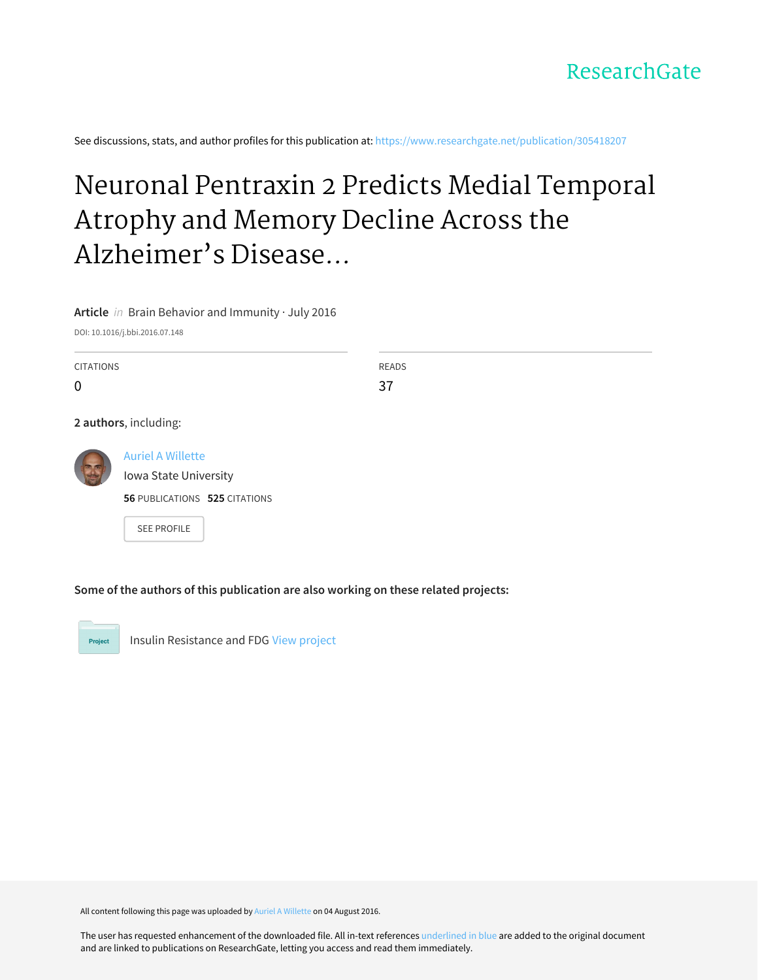See discussions, stats, and author profiles for this publication at: [https://www.researchgate.net/publication/305418207](https://www.researchgate.net/publication/305418207_Neuronal_Pentraxin_2_Predicts_Medial_Temporal_Atrophy_and_Memory_Decline_Across_the_Alzheimer%27s_Disease_Spectrum?enrichId=rgreq-fec651444e0fc730e3f764c8fee04bd2-XXX&enrichSource=Y292ZXJQYWdlOzMwNTQxODIwNztBUzozOTEzODM2MjI5MzA0NDNAMTQ3MDMyNDUzNTUyOQ%3D%3D&el=1_x_2&_esc=publicationCoverPdf)

# Neuronal Pentraxin 2 Predicts Medial Temporal Atrophy and Memory Decline Across the Alzheimer's Disease...

**Article** in Brain Behavior and Immunity · July 2016

DOI: 10.1016/j.bbi.2016.07.148

| <b>CITATIONS</b>         |                                                                                    |  | <b>READS</b> |  |  |  |
|--------------------------|------------------------------------------------------------------------------------|--|--------------|--|--|--|
| $\mathbf 0$              |                                                                                    |  | 37           |  |  |  |
|                          | 2 authors, including:                                                              |  |              |  |  |  |
| $\overline{\phantom{a}}$ | <b>Auriel A Willette</b><br>Iowa State University<br>56 PUBLICATIONS 525 CITATIONS |  |              |  |  |  |
|                          | <b>SEE PROFILE</b>                                                                 |  |              |  |  |  |

**Some of the authors of this publication are also working on these related projects:**

Project

Insulin Resistance and FDG View [project](https://www.researchgate.net/project/Insulin-Resistance-and-FDG?enrichId=rgreq-fec651444e0fc730e3f764c8fee04bd2-XXX&enrichSource=Y292ZXJQYWdlOzMwNTQxODIwNztBUzozOTEzODM2MjI5MzA0NDNAMTQ3MDMyNDUzNTUyOQ%3D%3D&el=1_x_9&_esc=publicationCoverPdf)

All content following this page was uploaded by Auriel A [Willette](https://www.researchgate.net/profile/Auriel_Willette?enrichId=rgreq-fec651444e0fc730e3f764c8fee04bd2-XXX&enrichSource=Y292ZXJQYWdlOzMwNTQxODIwNztBUzozOTEzODM2MjI5MzA0NDNAMTQ3MDMyNDUzNTUyOQ%3D%3D&el=1_x_10&_esc=publicationCoverPdf) on 04 August 2016.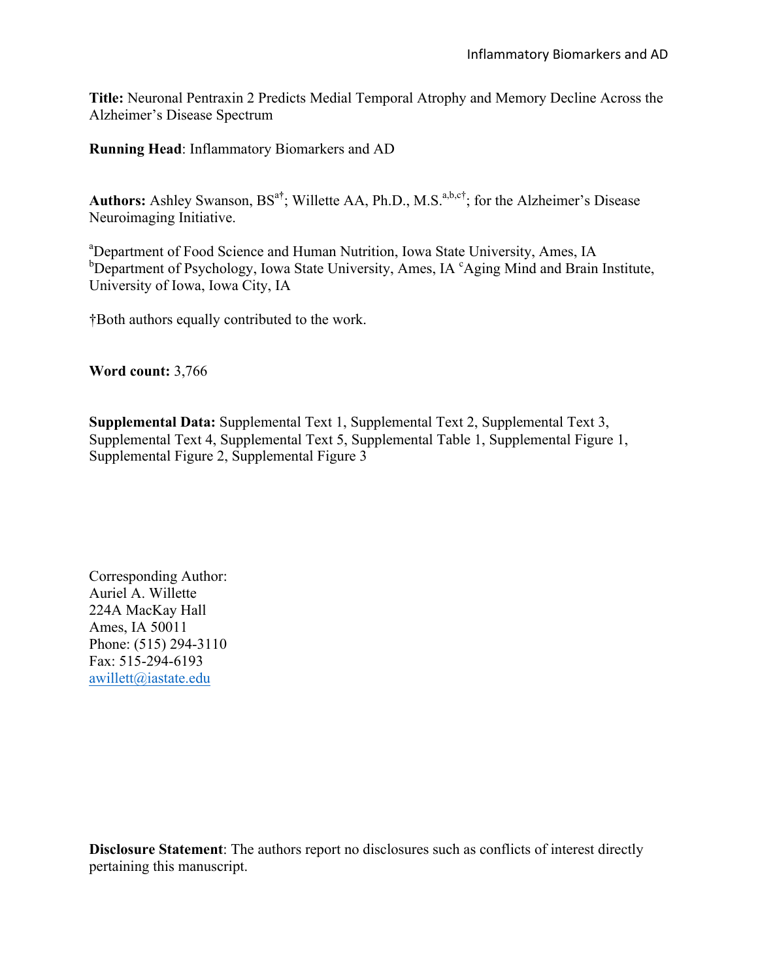**Title:** Neuronal Pentraxin 2 Predicts Medial Temporal Atrophy and Memory Decline Across the Alzheimer's Disease Spectrum

**Running Head**: Inflammatory Biomarkers and AD

Authors: Ashley Swanson, BS<sup>a†</sup>; Willette AA, Ph.D., M.S.<sup>a,b,c†</sup>; for the Alzheimer's Disease Neuroimaging Initiative.

<sup>a</sup>Department of Food Science and Human Nutrition, Iowa State University, Ames, IA <sup>b</sup>Department of Psychology, Iowa State University, Ames, IA <sup>c</sup>Aging Mind and Brain Institute, University of Iowa, Iowa City, IA

†Both authors equally contributed to the work.

**Word count:** 3,766

**Supplemental Data:** Supplemental Text 1, Supplemental Text 2, Supplemental Text 3, Supplemental Text 4, Supplemental Text 5, Supplemental Table 1, Supplemental Figure 1, Supplemental Figure 2, Supplemental Figure 3

Corresponding Author: Auriel A. Willette 224A MacKay Hall Ames, IA 50011 Phone: (515) 294-3110 Fax: 515-294-6193 awillett@iastate.edu

**Disclosure Statement**: The authors report no disclosures such as conflicts of interest directly pertaining this manuscript.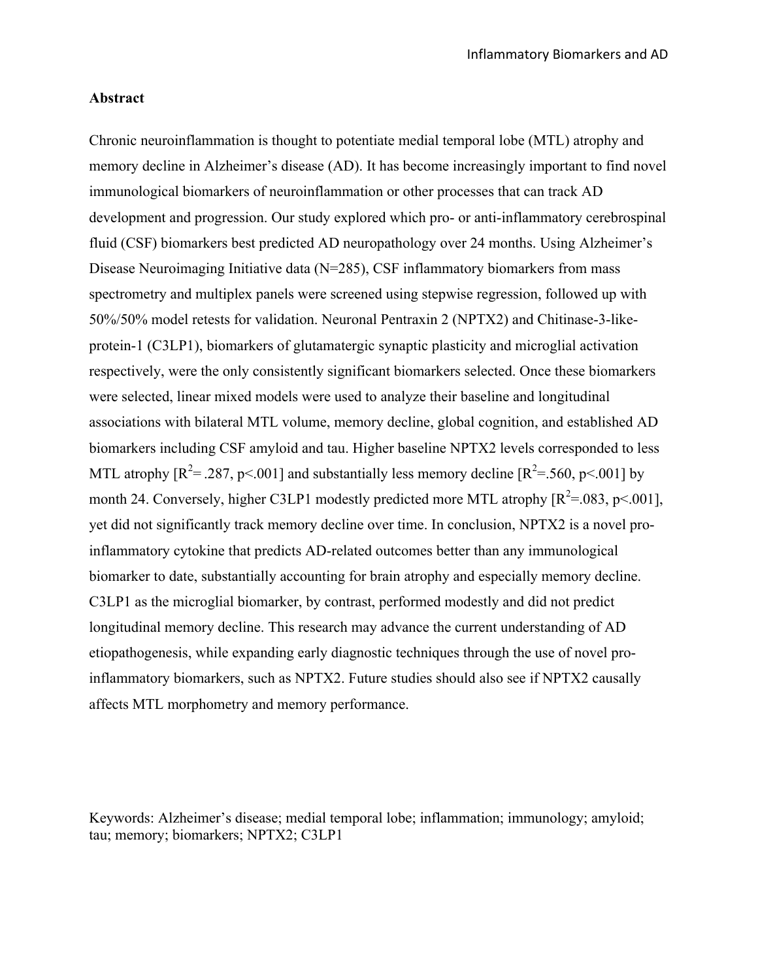## **Abstract**

Chronic neuroinflammation is thought to potentiate medial temporal lobe (MTL) atrophy and memory decline in Alzheimer's disease (AD). It has become increasingly important to find novel immunological biomarkers of neuroinflammation or other processes that can track AD development and progression. Our study explored which pro- or anti-inflammatory cerebrospinal fluid (CSF) biomarkers best predicted AD neuropathology over 24 months. Using Alzheimer's Disease Neuroimaging Initiative data (N=285), CSF inflammatory biomarkers from mass spectrometry and multiplex panels were screened using stepwise regression, followed up with 50%/50% model retests for validation. Neuronal Pentraxin 2 (NPTX2) and Chitinase-3-likeprotein-1 (C3LP1), biomarkers of glutamatergic synaptic plasticity and microglial activation respectively, were the only consistently significant biomarkers selected. Once these biomarkers were selected, linear mixed models were used to analyze their baseline and longitudinal associations with bilateral MTL volume, memory decline, global cognition, and established AD biomarkers including CSF amyloid and tau. Higher baseline NPTX2 levels corresponded to less MTL atrophy  $[R^2 = .287, p < .001]$  and substantially less memory decline  $[R^2 = .560, p < .001]$  by month 24. Conversely, higher C3LP1 modestly predicted more MTL atrophy  $[R^2=0.083, p<.001]$ , yet did not significantly track memory decline over time. In conclusion, NPTX2 is a novel proinflammatory cytokine that predicts AD-related outcomes better than any immunological biomarker to date, substantially accounting for brain atrophy and especially memory decline. C3LP1 as the microglial biomarker, by contrast, performed modestly and did not predict longitudinal memory decline. This research may advance the current understanding of AD etiopathogenesis, while expanding early diagnostic techniques through the use of novel proinflammatory biomarkers, such as NPTX2. Future studies should also see if NPTX2 causally affects MTL morphometry and memory performance.

Keywords: Alzheimer's disease; medial temporal lobe; inflammation; immunology; amyloid; tau; memory; biomarkers; NPTX2; C3LP1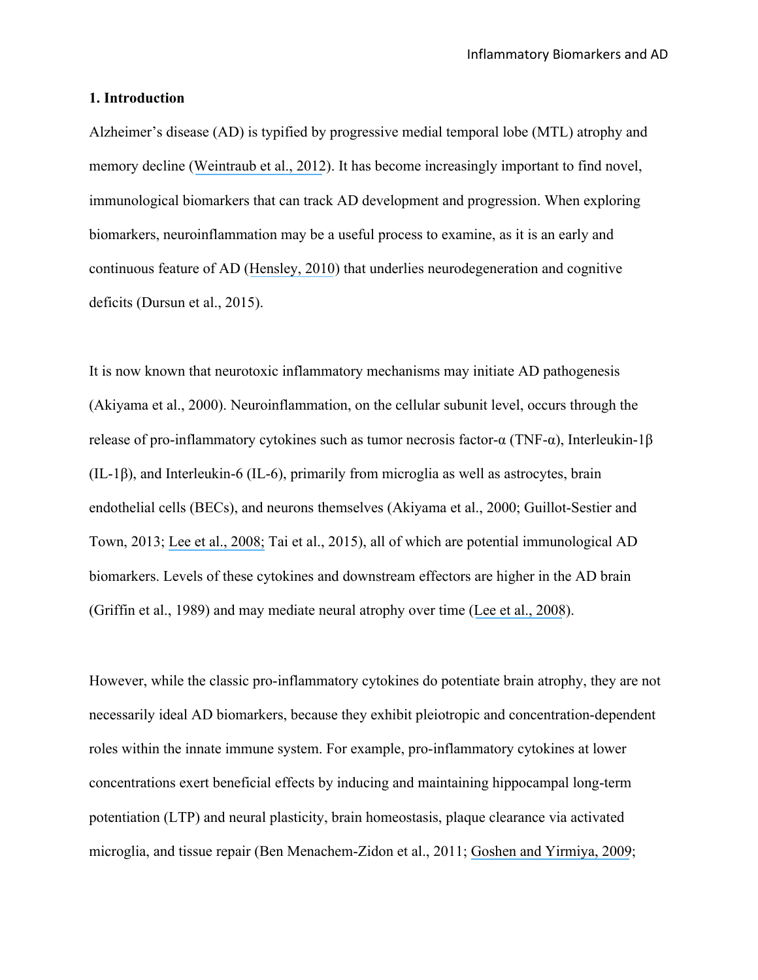#### **1. Introduction**

Alzheimer's disease (AD) is typified by progressive medial temporal lobe (MTL) atrophy and memory decline ([Weintraub et al., 2012](https://www.researchgate.net/publication/223987064_The_Neuropsychological_Profile_of_Alzheimer_Disease?el=1_x_8&enrichId=rgreq-fec651444e0fc730e3f764c8fee04bd2-XXX&enrichSource=Y292ZXJQYWdlOzMwNTQxODIwNztBUzozOTEzODM2MjI5MzA0NDNAMTQ3MDMyNDUzNTUyOQ==)). It has become increasingly important to find novel, immunological biomarkers that can track AD development and progression. When exploring biomarkers, neuroinflammation may be a useful process to examine, as it is an early and continuous feature of AD ([Hensley, 2010](https://www.researchgate.net/publication/41562347_Neuroinflammation_in_Alzheimer)) that underlies neurodegeneration and cognitive deficits (Dursun et al., 2015).

It is now known that neurotoxic inflammatory mechanisms may initiate AD pathogenesis (Akiyama et al., 2000). Neuroinflammation, on the cellular subunit level, occurs through the release of pro-inflammatory cytokines such as tumor necrosis factor-α (TNF-α), Interleukin-1β (IL-1β), and Interleukin-6 (IL-6), primarily from microglia as well as astrocytes, brain endothelial cells (BECs), and neurons themselves (Akiyama et al., 2000; Guillot-Sestier and Town, 2013; [Lee et al.,](https://www.researchgate.net/publication/23226285_Neuro-inflammation_induced_by_lipopolysaccharide_causes_cognitive_impairment_through_enhancement_of_b-amyloid_generation?el=1_x_8&enrichId=rgreq-fec651444e0fc730e3f764c8fee04bd2-XXX&enrichSource=Y292ZXJQYWdlOzMwNTQxODIwNztBUzozOTEzODM2MjI5MzA0NDNAMTQ3MDMyNDUzNTUyOQ==) 2008; Tai et al., 2015), all of which are potential immunological AD biomarkers. Levels of these cytokines and downstream effectors are higher in the AD brain (Griffin et al., 1989) and may mediate neural atrophy over time ([Lee et al., 2008](https://www.researchgate.net/publication/23226285_Neuro-inflammation_induced_by_lipopolysaccharide_causes_cognitive_impairment_through_enhancement_of_b-amyloid_generation?el=1_x_8&enrichId=rgreq-fec651444e0fc730e3f764c8fee04bd2-XXX&enrichSource=Y292ZXJQYWdlOzMwNTQxODIwNztBUzozOTEzODM2MjI5MzA0NDNAMTQ3MDMyNDUzNTUyOQ==)).

However, while the classic pro-inflammatory cytokines do potentiate brain atrophy, they are not necessarily ideal AD biomarkers, because they exhibit pleiotropic and concentration-dependent roles within the innate immune system. For example, pro-inflammatory cytokines at lower concentrations exert beneficial effects by inducing and maintaining hippocampal long-term potentiation (LTP) and neural plasticity, brain homeostasis, plaque clearance via activated microglia, and tissue repair (Ben Menachem-Zidon et al., 2011; [Goshen and Yirmiya, 2009](https://www.researchgate.net/publication/222539117_Interleukin-1_IL-1_A_central_regulator_of_stress_responses?el=1_x_8&enrichId=rgreq-fec651444e0fc730e3f764c8fee04bd2-XXX&enrichSource=Y292ZXJQYWdlOzMwNTQxODIwNztBUzozOTEzODM2MjI5MzA0NDNAMTQ3MDMyNDUzNTUyOQ==);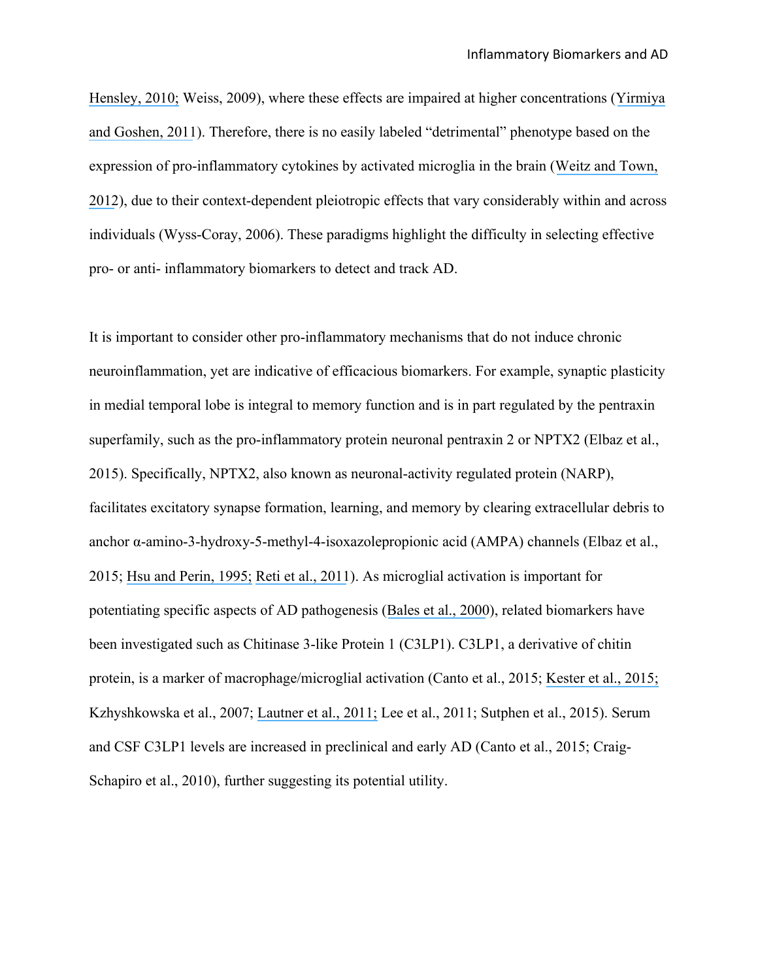[Hensley, 2010;](https://www.researchgate.net/publication/41562347_Neuroinflammation_in_Alzheimer) Weiss, 2009), where these effects are impaired at higher concentrations ([Yirmiya](https://www.researchgate.net/publication/47533290_Yirmiya_R_Goshen_I_Immune_modulation_of_learning_memory_neural_plasticity_and_neurogenesis_Brain_Behav_Immun_25_181-213?el=1_x_8&enrichId=rgreq-fec651444e0fc730e3f764c8fee04bd2-XXX&enrichSource=Y292ZXJQYWdlOzMwNTQxODIwNztBUzozOTEzODM2MjI5MzA0NDNAMTQ3MDMyNDUzNTUyOQ==)  [and Goshen, 2011](https://www.researchgate.net/publication/47533290_Yirmiya_R_Goshen_I_Immune_modulation_of_learning_memory_neural_plasticity_and_neurogenesis_Brain_Behav_Immun_25_181-213?el=1_x_8&enrichId=rgreq-fec651444e0fc730e3f764c8fee04bd2-XXX&enrichSource=Y292ZXJQYWdlOzMwNTQxODIwNztBUzozOTEzODM2MjI5MzA0NDNAMTQ3MDMyNDUzNTUyOQ==)). Therefore, there is no easily labeled "detrimental" phenotype based on the expression of pro-inflammatory cytokines by activated microglia in the brain ([Weitz and Town,](https://www.researchgate.net/publication/229018199_Microglia_in_Alzheimer)  [2012](https://www.researchgate.net/publication/229018199_Microglia_in_Alzheimer)), due to their context-dependent pleiotropic effects that vary considerably within and across individuals (Wyss-Coray, 2006). These paradigms highlight the difficulty in selecting effective pro- or anti- inflammatory biomarkers to detect and track AD.

It is important to consider other pro-inflammatory mechanisms that do not induce chronic neuroinflammation, yet are indicative of efficacious biomarkers. For example, synaptic plasticity in medial temporal lobe is integral to memory function and is in part regulated by the pentraxin superfamily, such as the pro-inflammatory protein neuronal pentraxin 2 or NPTX2 (Elbaz et al., 2015). Specifically, NPTX2, also known as neuronal-activity regulated protein (NARP), facilitates excitatory synapse formation, learning, and memory by clearing extracellular debris to anchor α-amino-3-hydroxy-5-methyl-4-isoxazolepropionic acid (AMPA) channels (Elbaz et al., 2015; [Hsu and Perin, 1995;](https://www.researchgate.net/publication/14670523_Human_Neuronal_Pentraxin_II_NPTX2_Conservation_Genomic_Structure_and_Chromosomal_Localization?el=1_x_8&enrichId=rgreq-fec651444e0fc730e3f764c8fee04bd2-XXX&enrichSource=Y292ZXJQYWdlOzMwNTQxODIwNztBUzozOTEzODM2MjI5MzA0NDNAMTQ3MDMyNDUzNTUyOQ==) [Reti et al., 2011](https://www.researchgate.net/publication/23226285_Neuro-inflammation_induced_by_lipopolysaccharide_causes_cognitive_impairment_through_enhancement_of_b-amyloid_generation?el=1_x_8&enrichId=rgreq-fec651444e0fc730e3f764c8fee04bd2-XXX&enrichSource=Y292ZXJQYWdlOzMwNTQxODIwNztBUzozOTEzODM2MjI5MzA0NDNAMTQ3MDMyNDUzNTUyOQ==)). As microglial activation is important for potentiating specific aspects of AD pathogenesis ([Bales et al., 2000](https://www.researchgate.net/publication/12459258_Neuroinflammation_and_Alzheimer)), related biomarkers have been investigated such as Chitinase 3-like Protein 1 (C3LP1). C3LP1, a derivative of chitin protein, is a marker of macrophage/microglial activation (Canto et al., 2015; [Kester et al., 2015;](https://www.researchgate.net/publication/282043475_Cerebrospinal_fluid_VILIP-1_and_YKL-40_candidate_biomarkers_to_diagnose_predict_and_monitor_Alzheimer) Kzhyshkowska et al., 2007; [Lautner et al., 2011;](https://www.researchgate.net/publication/51828134_Biomarkers_for_Microglial_Activation_in_Alzheimer) Lee et al., 2011; Sutphen et al., 2015). Serum and CSF C3LP1 levels are increased in preclinical and early AD (Canto et al., 2015; Craig-Schapiro et al., 2010), further suggesting its potential utility.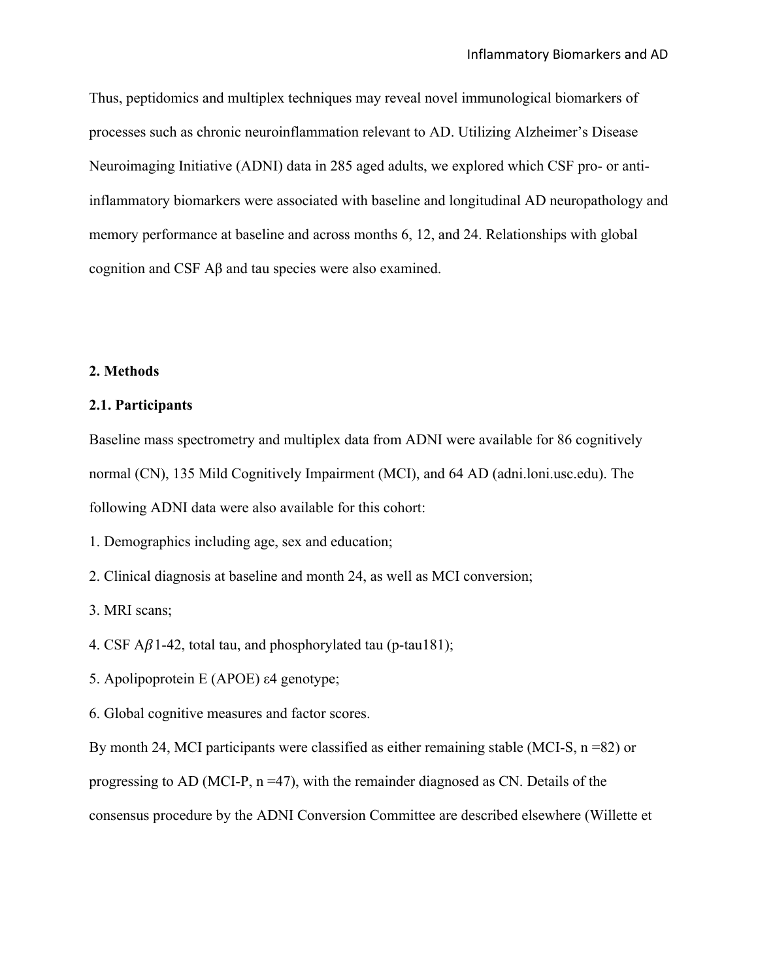Thus, peptidomics and multiplex techniques may reveal novel immunological biomarkers of processes such as chronic neuroinflammation relevant to AD. Utilizing Alzheimer's Disease Neuroimaging Initiative (ADNI) data in 285 aged adults, we explored which CSF pro- or antiinflammatory biomarkers were associated with baseline and longitudinal AD neuropathology and memory performance at baseline and across months 6, 12, and 24. Relationships with global cognition and CSF Aβ and tau species were also examined.

## **2. Methods**

## **2.1. Participants**

Baseline mass spectrometry and multiplex data from ADNI were available for 86 cognitively normal (CN), 135 Mild Cognitively Impairment (MCI), and 64 AD (adni.loni.usc.edu). The following ADNI data were also available for this cohort:

1. Demographics including age, sex and education;

2. Clinical diagnosis at baseline and month 24, as well as MCI conversion;

3. MRI scans;

- 4. CSF  $\mathbf{A}\beta$ 1-42, total tau, and phosphorylated tau (p-tau181);
- 5. Apolipoprotein E (APOE) ε4 genotype;
- 6. Global cognitive measures and factor scores.

By month 24, MCI participants were classified as either remaining stable (MCI-S,  $n = 82$ ) or progressing to AD (MCI-P, n =47), with the remainder diagnosed as CN. Details of the consensus procedure by the ADNI Conversion Committee are described elsewhere (Willette et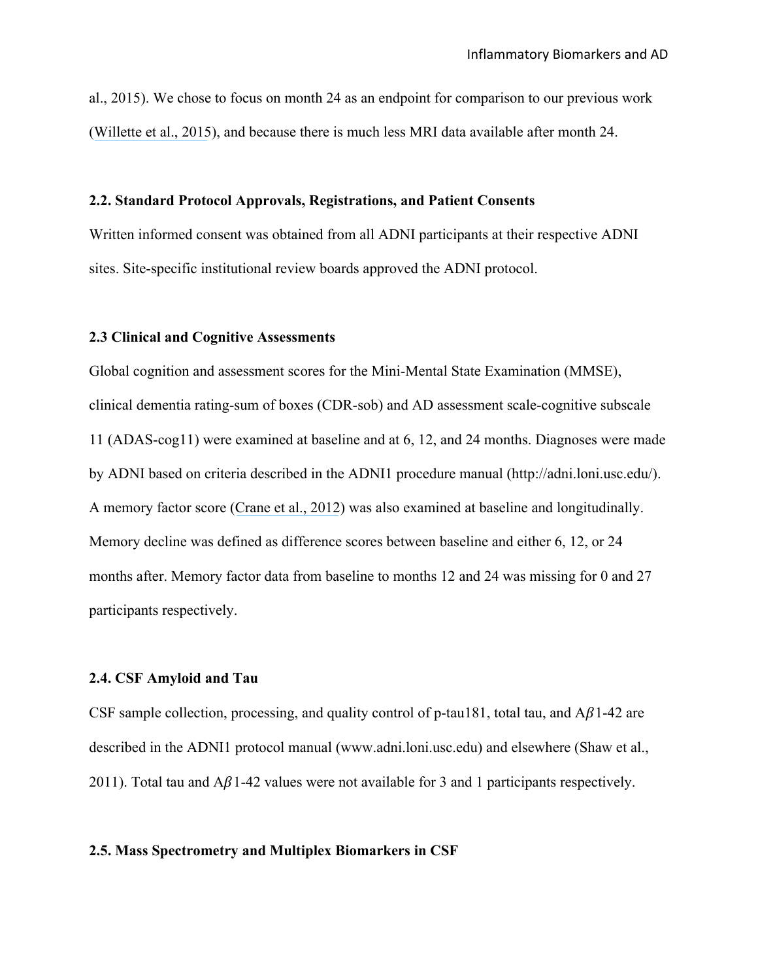al., 2015). We chose to focus on month 24 as an endpoint for comparison to our previous work ([Willette et al., 2015](https://www.researchgate.net/publication/270765624_Insulin_Resistance_Predicts_Medial_Temporal_Hypermetabolism_in_Mild_Cognitive_Impairment_Conversion_to_Alzheimer_Disease?el=1_x_8&enrichId=rgreq-fec651444e0fc730e3f764c8fee04bd2-XXX&enrichSource=Y292ZXJQYWdlOzMwNTQxODIwNztBUzozOTEzODM2MjI5MzA0NDNAMTQ3MDMyNDUzNTUyOQ==)), and because there is much less MRI data available after month 24.

## **2.2. Standard Protocol Approvals, Registrations, and Patient Consents**

Written informed consent was obtained from all ADNI participants at their respective ADNI sites. Site-specific institutional review boards approved the ADNI protocol.

## **2.3 Clinical and Cognitive Assessments**

Global cognition and assessment scores for the Mini-Mental State Examination (MMSE), clinical dementia rating-sum of boxes (CDR-sob) and AD assessment scale-cognitive subscale 11 (ADAS-cog11) were examined at baseline and at 6, 12, and 24 months. Diagnoses were made by ADNI based on criteria described in the ADNI1 procedure manual (http://adni.loni.usc.edu/). A memory factor score ([Crane et al., 2012](https://www.researchgate.net/publication/229064936_Development_and_assessment_of_a_composite_score_for_memory_in_the_Alzheimer)) was also examined at baseline and longitudinally. Memory decline was defined as difference scores between baseline and either 6, 12, or 24 months after. Memory factor data from baseline to months 12 and 24 was missing for 0 and 27 participants respectively.

## **2.4. CSF Amyloid and Tau**

CSF sample collection, processing, and quality control of p-tau181, total tau, and  $A\beta$ 1-42 are described in the ADNI1 protocol manual (www.adni.loni.usc.edu) and elsewhere (Shaw et al., 2011). Total tau and  $A\beta$ 1-42 values were not available for 3 and 1 participants respectively.

## **2.5. Mass Spectrometry and Multiplex Biomarkers in CSF**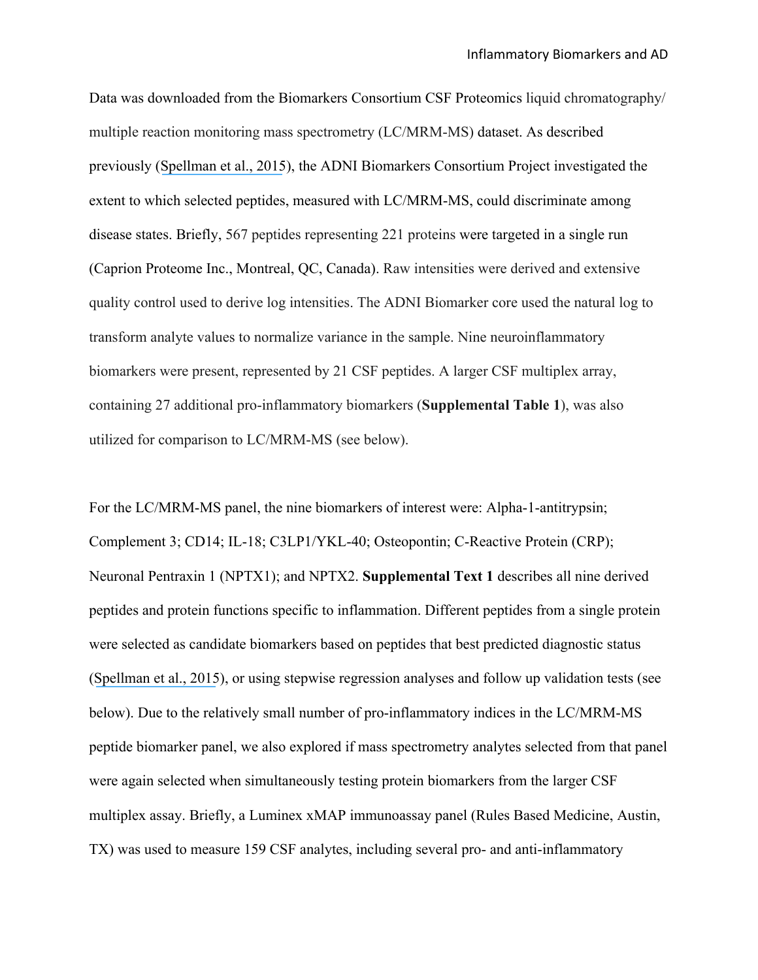Data was downloaded from the Biomarkers Consortium CSF Proteomics liquid chromatography/ multiple reaction monitoring mass spectrometry (LC/MRM-MS) dataset. As described previously ([Spellman et al., 2015](https://www.researchgate.net/publication/272186679_Development_and_Evaluation_of_a_Multiplexed_Mass_Spectrometry-Based_Assay_for_Measuring_Candidate_Peptide_Biomarkers_in_Alzheimer)), the ADNI Biomarkers Consortium Project investigated the extent to which selected peptides, measured with LC/MRM-MS, could discriminate among disease states. Briefly, 567 peptides representing 221 proteins were targeted in a single run (Caprion Proteome Inc., Montreal, QC, Canada). Raw intensities were derived and extensive quality control used to derive log intensities. The ADNI Biomarker core used the natural log to transform analyte values to normalize variance in the sample. Nine neuroinflammatory biomarkers were present, represented by 21 CSF peptides. A larger CSF multiplex array, containing 27 additional pro-inflammatory biomarkers (**Supplemental Table 1**), was also utilized for comparison to LC/MRM-MS (see below).

For the LC/MRM-MS panel, the nine biomarkers of interest were: Alpha-1-antitrypsin; Complement 3; CD14; IL-18; C3LP1/YKL-40; Osteopontin; C-Reactive Protein (CRP); Neuronal Pentraxin 1 (NPTX1); and NPTX2. **Supplemental Text 1** describes all nine derived peptides and protein functions specific to inflammation. Different peptides from a single protein were selected as candidate biomarkers based on peptides that best predicted diagnostic status ([Spellman et al., 2015](https://www.researchgate.net/publication/272186679_Development_and_Evaluation_of_a_Multiplexed_Mass_Spectrometry-Based_Assay_for_Measuring_Candidate_Peptide_Biomarkers_in_Alzheimer)), or using stepwise regression analyses and follow up validation tests (see below). Due to the relatively small number of pro-inflammatory indices in the LC/MRM-MS peptide biomarker panel, we also explored if mass spectrometry analytes selected from that panel were again selected when simultaneously testing protein biomarkers from the larger CSF multiplex assay. Briefly, a Luminex xMAP immunoassay panel (Rules Based Medicine, Austin, TX) was used to measure 159 CSF analytes, including several pro- and anti-inflammatory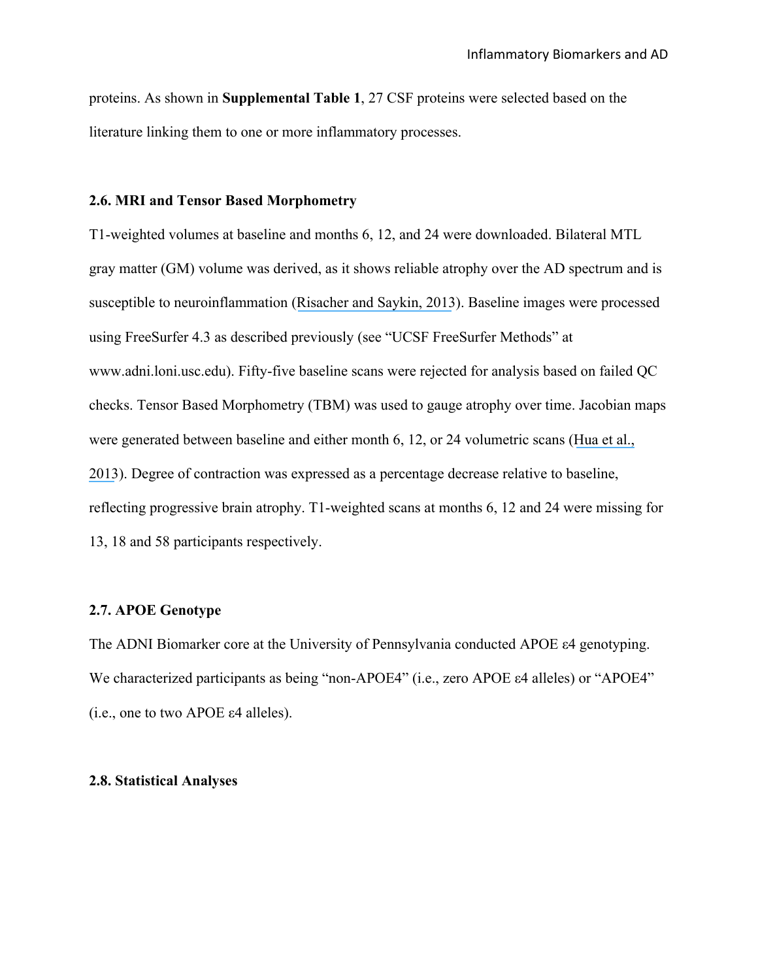proteins. As shown in **Supplemental Table 1**, 27 CSF proteins were selected based on the literature linking them to one or more inflammatory processes.

## **2.6. MRI and Tensor Based Morphometry**

T1-weighted volumes at baseline and months 6, 12, and 24 were downloaded. Bilateral MTL gray matter (GM) volume was derived, as it shows reliable atrophy over the AD spectrum and is susceptible to neuroinflammation ([Risacher and Saykin, 2013](https://www.researchgate.net/publication/234087479_Neuroimaging_and_Other_Biomarkers_for_Alzheimer)). Baseline images were processed using FreeSurfer 4.3 as described previously (see "UCSF FreeSurfer Methods" at www.adni.loni.usc.edu). Fifty-five baseline scans were rejected for analysis based on failed QC checks. Tensor Based Morphometry (TBM) was used to gauge atrophy over time. Jacobian maps were generated between baseline and either month 6, 12, or 24 volumetric scans ([Hua et al.,](https://www.researchgate.net/publication/233423148_Unbiased_Tensor-Based_Morphometry_Improved_Robustness_and_Sample_Size_Estimates_for_Alzheimer)  [2013](https://www.researchgate.net/publication/233423148_Unbiased_Tensor-Based_Morphometry_Improved_Robustness_and_Sample_Size_Estimates_for_Alzheimer)). Degree of contraction was expressed as a percentage decrease relative to baseline, reflecting progressive brain atrophy. T1-weighted scans at months 6, 12 and 24 were missing for 13, 18 and 58 participants respectively.

## **2.7. APOE Genotype**

The ADNI Biomarker core at the University of Pennsylvania conducted APOE ε4 genotyping. We characterized participants as being "non-APOE4" (i.e., zero APOE ε4 alleles) or "APOE4" (i.e., one to two APOE ε4 alleles).

#### **2.8. Statistical Analyses**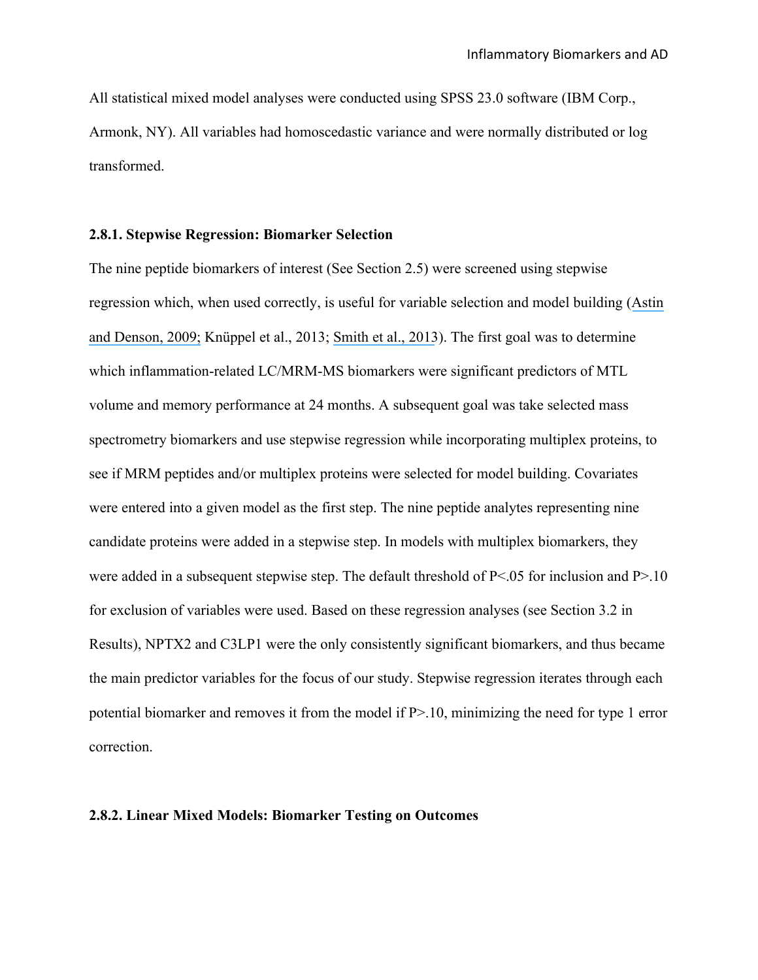All statistical mixed model analyses were conducted using SPSS 23.0 software (IBM Corp., Armonk, NY). All variables had homoscedastic variance and were normally distributed or log transformed.

## **2.8.1. Stepwise Regression: Biomarker Selection**

The nine peptide biomarkers of interest (See Section 2.5) were screened using stepwise regression which, when used correctly, is useful for variable selection and model building ([Astin](https://www.researchgate.net/publication/225618193_Multi-Campus_Studies_of_College_Impact_Which_Statistical_Method_is_Appropriate?el=1_x_8&enrichId=rgreq-fec651444e0fc730e3f764c8fee04bd2-XXX&enrichSource=Y292ZXJQYWdlOzMwNTQxODIwNztBUzozOTEzODM2MjI5MzA0NDNAMTQ3MDMyNDUzNTUyOQ==) [and Denson, 2009;](https://www.researchgate.net/publication/225618193_Multi-Campus_Studies_of_College_Impact_Which_Statistical_Method_is_Appropriate?el=1_x_8&enrichId=rgreq-fec651444e0fc730e3f764c8fee04bd2-XXX&enrichSource=Y292ZXJQYWdlOzMwNTQxODIwNztBUzozOTEzODM2MjI5MzA0NDNAMTQ3MDMyNDUzNTUyOQ==) Knüppel et al., 2013; [Smith et al., 2013](https://www.researchgate.net/publication/256468566_A_Comparison_of_Random_Forest_Regression_and_Multiple_Linear_Regression_for_Prediction_in_Neuroscience?el=1_x_8&enrichId=rgreq-fec651444e0fc730e3f764c8fee04bd2-XXX&enrichSource=Y292ZXJQYWdlOzMwNTQxODIwNztBUzozOTEzODM2MjI5MzA0NDNAMTQ3MDMyNDUzNTUyOQ==)). The first goal was to determine which inflammation-related LC/MRM-MS biomarkers were significant predictors of MTL volume and memory performance at 24 months. A subsequent goal was take selected mass spectrometry biomarkers and use stepwise regression while incorporating multiplex proteins, to see if MRM peptides and/or multiplex proteins were selected for model building. Covariates were entered into a given model as the first step. The nine peptide analytes representing nine candidate proteins were added in a stepwise step. In models with multiplex biomarkers, they were added in a subsequent stepwise step. The default threshold of  $P < 05$  for inclusion and  $P > 10$ for exclusion of variables were used. Based on these regression analyses (see Section 3.2 in Results), NPTX2 and C3LP1 were the only consistently significant biomarkers, and thus became the main predictor variables for the focus of our study. Stepwise regression iterates through each potential biomarker and removes it from the model if P>.10, minimizing the need for type 1 error correction.

#### **2.8.2. Linear Mixed Models: Biomarker Testing on Outcomes**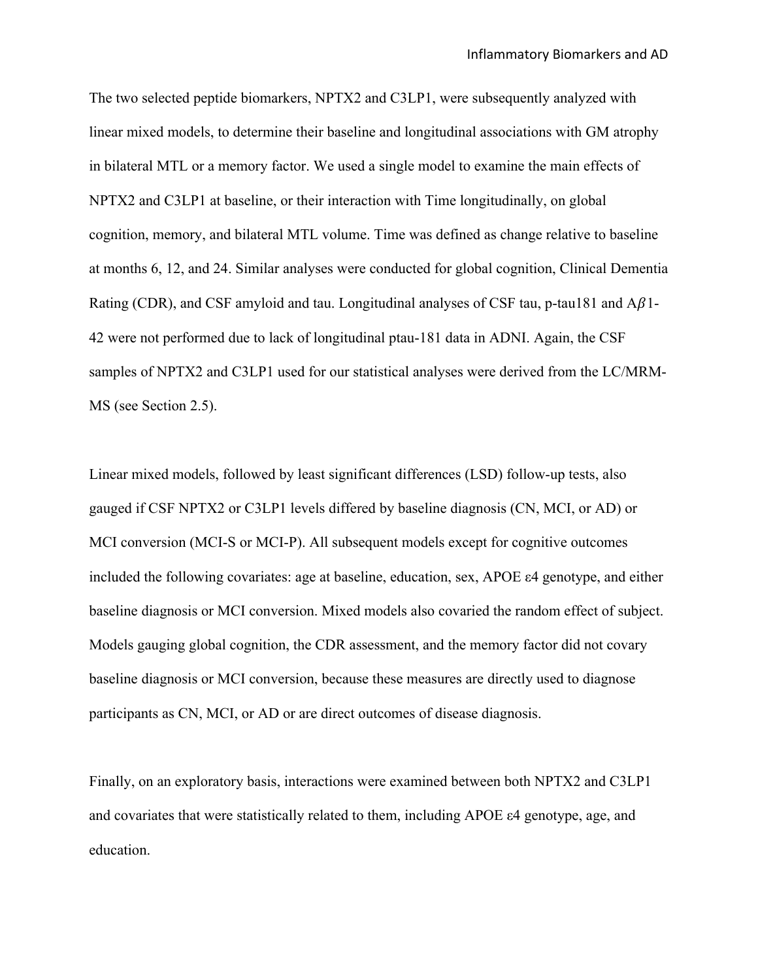The two selected peptide biomarkers, NPTX2 and C3LP1, were subsequently analyzed with linear mixed models, to determine their baseline and longitudinal associations with GM atrophy in bilateral MTL or a memory factor. We used a single model to examine the main effects of NPTX2 and C3LP1 at baseline, or their interaction with Time longitudinally, on global cognition, memory, and bilateral MTL volume. Time was defined as change relative to baseline at months 6, 12, and 24. Similar analyses were conducted for global cognition, Clinical Dementia Rating (CDR), and CSF amyloid and tau. Longitudinal analyses of CSF tau, p-tau181 and  $A\beta$ 1-42 were not performed due to lack of longitudinal ptau-181 data in ADNI. Again, the CSF samples of NPTX2 and C3LP1 used for our statistical analyses were derived from the LC/MRM-MS (see Section 2.5).

Linear mixed models, followed by least significant differences (LSD) follow-up tests, also gauged if CSF NPTX2 or C3LP1 levels differed by baseline diagnosis (CN, MCI, or AD) or MCI conversion (MCI-S or MCI-P). All subsequent models except for cognitive outcomes included the following covariates: age at baseline, education, sex, APOE ε4 genotype, and either baseline diagnosis or MCI conversion. Mixed models also covaried the random effect of subject. Models gauging global cognition, the CDR assessment, and the memory factor did not covary baseline diagnosis or MCI conversion, because these measures are directly used to diagnose participants as CN, MCI, or AD or are direct outcomes of disease diagnosis.

Finally, on an exploratory basis, interactions were examined between both NPTX2 and C3LP1 and covariates that were statistically related to them, including APOE ε4 genotype, age, and education.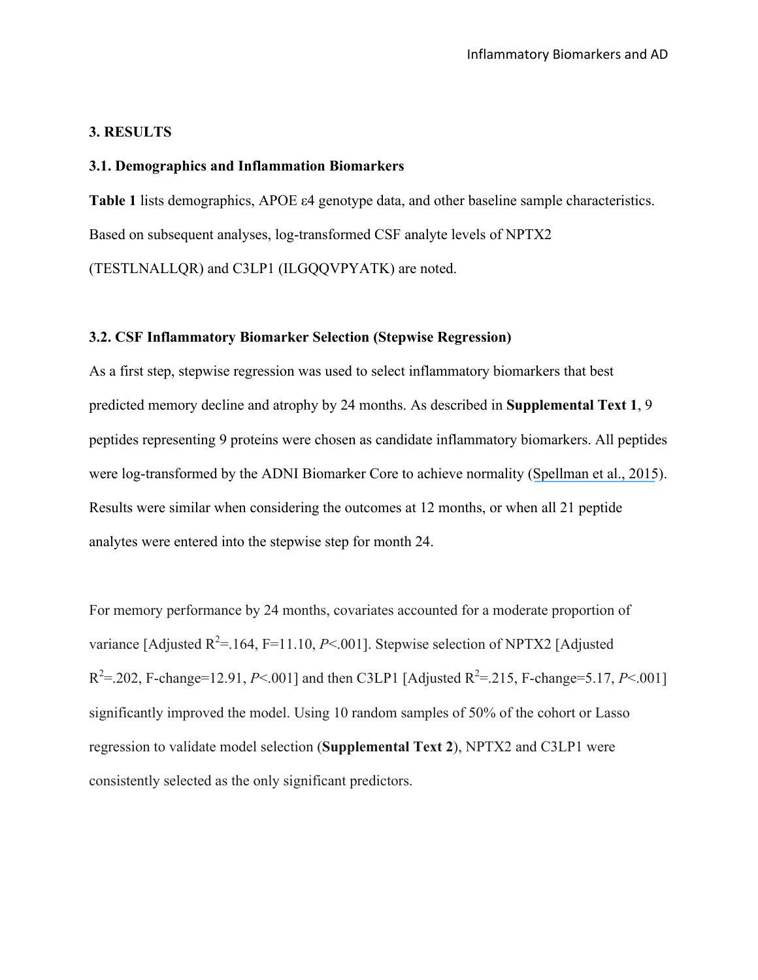## **3. RESULTS**

## **3.1. Demographics and Inflammation Biomarkers**

**Table 1** lists demographics, APOE ε4 genotype data, and other baseline sample characteristics. Based on subsequent analyses, log-transformed CSF analyte levels of NPTX2 (TESTLNALLQR) and C3LP1 (ILGQQVPYATK) are noted.

## **3.2. CSF Inflammatory Biomarker Selection (Stepwise Regression)**

As a first step, stepwise regression was used to select inflammatory biomarkers that best predicted memory decline and atrophy by 24 months. As described in **Supplemental Text 1**, 9 peptides representing 9 proteins were chosen as candidate inflammatory biomarkers. All peptides were log-transformed by the ADNI Biomarker Core to achieve normality ([Spellman et al., 2015](https://www.researchgate.net/publication/272186679_Development_and_Evaluation_of_a_Multiplexed_Mass_Spectrometry-Based_Assay_for_Measuring_Candidate_Peptide_Biomarkers_in_Alzheimer)). Results were similar when considering the outcomes at 12 months, or when all 21 peptide analytes were entered into the stepwise step for month 24.

For memory performance by 24 months, covariates accounted for a moderate proportion of variance [Adjusted  $R^2 = 164$ , F=11.10, *P*<.001]. Stepwise selection of NPTX2 [Adjusted  $R^2 = 202$ , F-change=12.91, *P*<.001] and then C3LP1 [Adjusted  $R^2 = 215$ , F-change=5.17, *P*<.001] significantly improved the model. Using 10 random samples of 50% of the cohort or Lasso regression to validate model selection (**Supplemental Text 2**), NPTX2 and C3LP1 were consistently selected as the only significant predictors.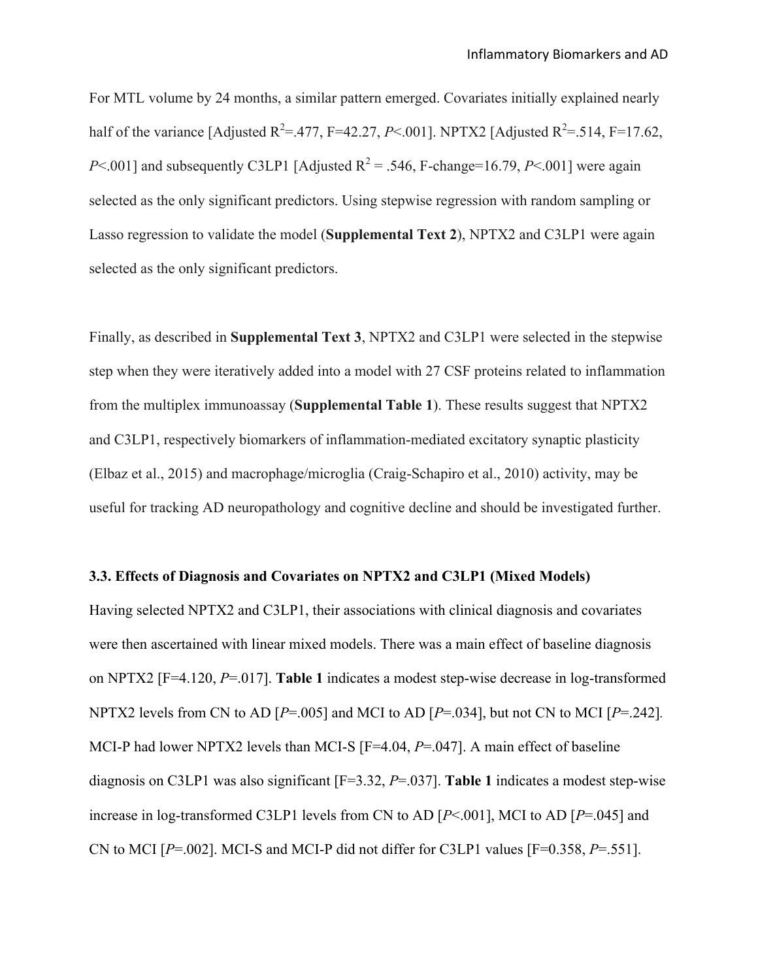For MTL volume by 24 months, a similar pattern emerged. Covariates initially explained nearly half of the variance [Adjusted  $R^2 = 477$ , F=42.27, *P*<.001]. NPTX2 [Adjusted  $R^2 = 514$ , F=17.62, *P* $\leq$ .001] and subsequently C3LP1 [Adjusted R<sup>2</sup> = .546, F-change=16.79, *P* $\leq$ .001] were again selected as the only significant predictors. Using stepwise regression with random sampling or Lasso regression to validate the model (**Supplemental Text 2**), NPTX2 and C3LP1 were again selected as the only significant predictors.

Finally, as described in **Supplemental Text 3**, NPTX2 and C3LP1 were selected in the stepwise step when they were iteratively added into a model with 27 CSF proteins related to inflammation from the multiplex immunoassay (**Supplemental Table 1**). These results suggest that NPTX2 and C3LP1, respectively biomarkers of inflammation-mediated excitatory synaptic plasticity (Elbaz et al., 2015) and macrophage/microglia (Craig-Schapiro et al., 2010) activity, may be useful for tracking AD neuropathology and cognitive decline and should be investigated further.

#### **3.3. Effects of Diagnosis and Covariates on NPTX2 and C3LP1 (Mixed Models)**

Having selected NPTX2 and C3LP1, their associations with clinical diagnosis and covariates were then ascertained with linear mixed models. There was a main effect of baseline diagnosis on NPTX2 [F=4.120, *P*=.017]. **Table 1** indicates a modest step-wise decrease in log-transformed NPTX2 levels from CN to AD [*P*=.005] and MCI to AD [*P*=.034], but not CN to MCI [*P*=.242]*.* MCI-P had lower NPTX2 levels than MCI-S [F=4.04, *P*=.047]. A main effect of baseline diagnosis on C3LP1 was also significant [F=3.32, *P*=.037]. **Table 1** indicates a modest step-wise increase in log-transformed C3LP1 levels from CN to AD [*P*<.001], MCI to AD [*P*=.045] and CN to MCI  $[P=.002]$ . MCI-S and MCI-P did not differ for C3LP1 values  $[F=0.358, P=.551]$ .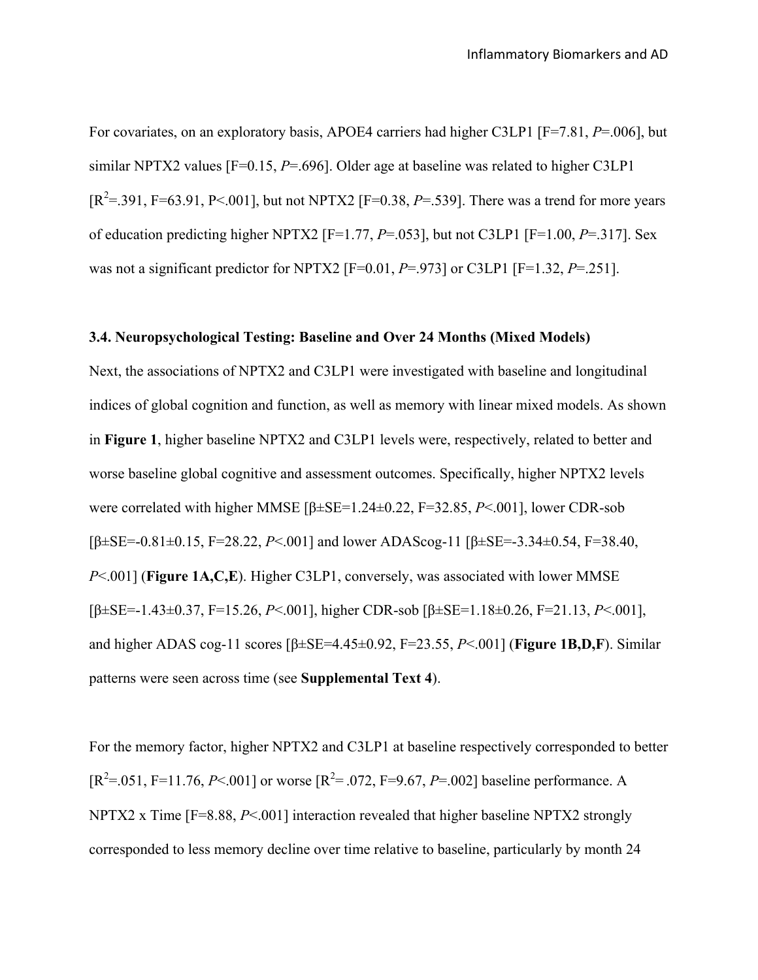For covariates, on an exploratory basis, APOE4 carriers had higher C3LP1 [F=7.81, *P*=.006], but similar NPTX2 values [F=0.15, *P*=.696]. Older age at baseline was related to higher C3LP1  $[R^2 = .391, F = 63.91, P < .001]$ , but not NPTX2 [F=0.38, P=.539]. There was a trend for more years of education predicting higher NPTX2 [F=1.77, *P*=.053], but not C3LP1 [F=1.00, *P*=.317]. Sex was not a significant predictor for NPTX2 [F=0.01, *P*=.973] or C3LP1 [F=1.32, *P*=.251].

## **3.4. Neuropsychological Testing: Baseline and Over 24 Months (Mixed Models)**

Next, the associations of NPTX2 and C3LP1 were investigated with baseline and longitudinal indices of global cognition and function, as well as memory with linear mixed models. As shown in **Figure 1**, higher baseline NPTX2 and C3LP1 levels were, respectively, related to better and worse baseline global cognitive and assessment outcomes. Specifically, higher NPTX2 levels were correlated with higher MMSE [β±SE=1.24±0.22, F=32.85, *P*<.001], lower CDR-sob [β±SE=-0.81±0.15, F=28.22, *P*<.001] and lower ADAScog-11 [β±SE=-3.34±0.54, F=38.40, *P*<.001] (**Figure 1A,C,E**). Higher C3LP1, conversely, was associated with lower MMSE [β±SE=-1.43±0.37, F=15.26, *P*<.001], higher CDR-sob [β±SE=1.18±0.26, F=21.13, *P*<.001], and higher ADAS cog-11 scores [β±SE=4.45±0.92, F=23.55, *P*<.001] (**Figure 1B,D,F**). Similar patterns were seen across time (see **Supplemental Text 4**).

For the memory factor, higher NPTX2 and C3LP1 at baseline respectively corresponded to better  $[R^2 = .051, F = 11.76, P < .001]$  or worse  $[R^2 = .072, F = 9.67, P = .002]$  baseline performance. A NPTX2 x Time [F=8.88, *P*<.001] interaction revealed that higher baseline NPTX2 strongly corresponded to less memory decline over time relative to baseline, particularly by month 24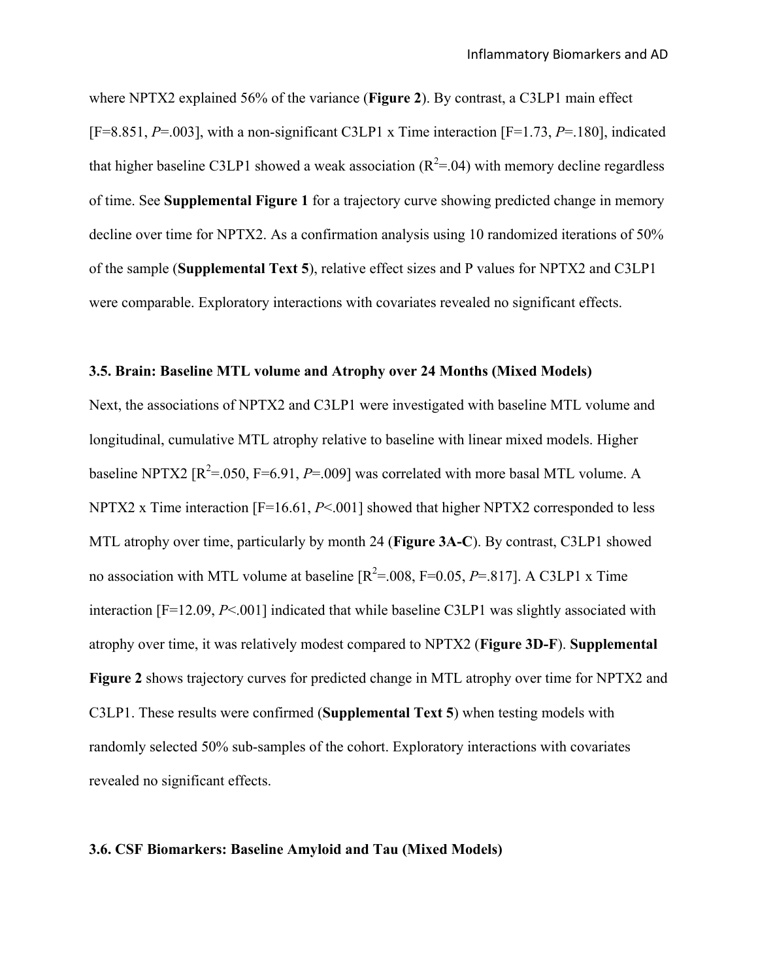where NPTX2 explained 56% of the variance (**Figure 2**). By contrast, a C3LP1 main effect [F=8.851, *P*=.003], with a non-significant C3LP1 x Time interaction [F=1.73, *P*=.180], indicated that higher baseline C3LP1 showed a weak association ( $R^2 = 0.04$ ) with memory decline regardless of time. See **Supplemental Figure 1** for a trajectory curve showing predicted change in memory decline over time for NPTX2. As a confirmation analysis using 10 randomized iterations of 50% of the sample (**Supplemental Text 5**), relative effect sizes and P values for NPTX2 and C3LP1 were comparable. Exploratory interactions with covariates revealed no significant effects.

#### **3.5. Brain: Baseline MTL volume and Atrophy over 24 Months (Mixed Models)**

Next, the associations of NPTX2 and C3LP1 were investigated with baseline MTL volume and longitudinal, cumulative MTL atrophy relative to baseline with linear mixed models. Higher baseline NPTX2  $[R^2 = .050, F = 6.91, P = .009]$  was correlated with more basal MTL volume. A NPTX2 x Time interaction [F=16.61, *P*<.001] showed that higher NPTX2 corresponded to less MTL atrophy over time, particularly by month 24 (**Figure 3A-C**). By contrast, C3LP1 showed no association with MTL volume at baseline  $[R^2 = .008, F = 0.05, P = .817]$ . A C3LP1 x Time interaction [F=12.09, *P*<.001] indicated that while baseline C3LP1 was slightly associated with atrophy over time, it was relatively modest compared to NPTX2 (**Figure 3D-F**). **Supplemental Figure 2** shows trajectory curves for predicted change in MTL atrophy over time for NPTX2 and C3LP1. These results were confirmed (**Supplemental Text 5**) when testing models with randomly selected 50% sub-samples of the cohort. Exploratory interactions with covariates revealed no significant effects.

#### **3.6. CSF Biomarkers: Baseline Amyloid and Tau (Mixed Models)**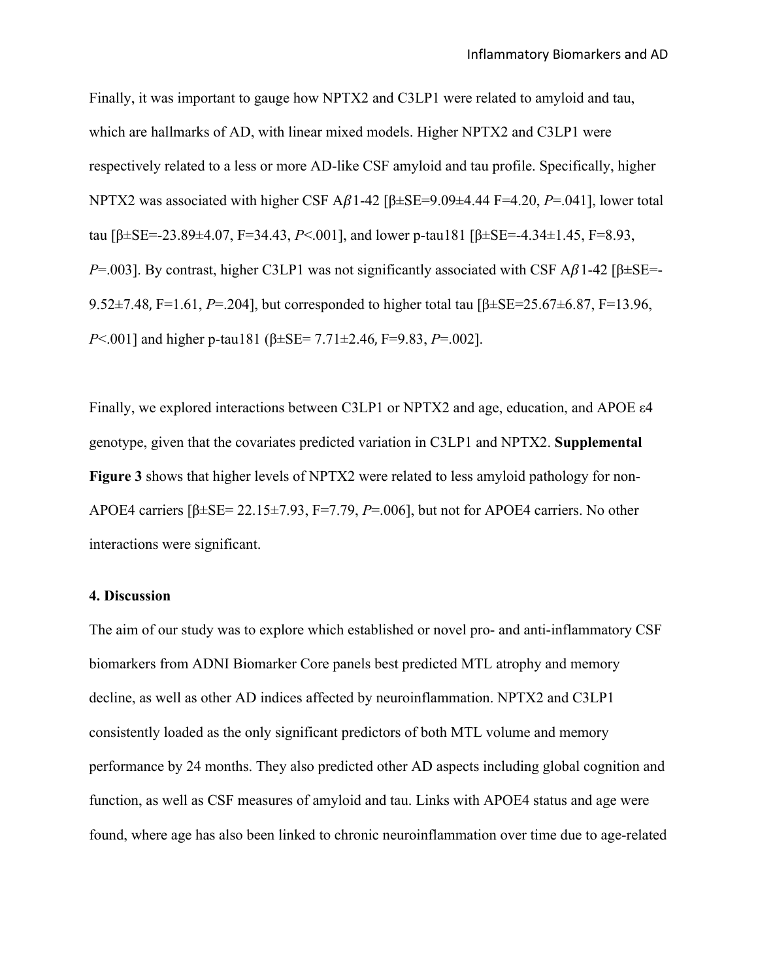Finally, it was important to gauge how NPTX2 and C3LP1 were related to amyloid and tau, which are hallmarks of AD, with linear mixed models. Higher NPTX2 and C3LP1 were respectively related to a less or more AD-like CSF amyloid and tau profile. Specifically, higher NPTX2 was associated with higher CSF A $\beta$ 1-42 [ $\beta \pm$ SE=9.09 $\pm$ 4.44 F=4.20, *P*=.041], lower total tau [β±SE=-23.89±4.07, F=34.43, *P*<.001], and lower p-tau181 [β±SE=-4.34±1.45, F=8.93, *P*=.003]. By contrast, higher C3LP1 was not significantly associated with CSF A $\beta$ 1-42 [β±SE=-9.52±7.48, F=1.61, *P*=.204], but corresponded to higher total tau [β±SE=25.67±6.87, F=13.96, *P*<.001] and higher p-tau181 (β±SE= 7.71±2.46, F=9.83, *P*=.002].

Finally, we explored interactions between C3LP1 or NPTX2 and age, education, and APOE ε4 genotype, given that the covariates predicted variation in C3LP1 and NPTX2. **Supplemental Figure 3** shows that higher levels of NPTX2 were related to less amyloid pathology for non-APOE4 carriers [β±SE= 22.15±7.93, F=7.79, *P*=.006], but not for APOE4 carriers. No other interactions were significant.

#### **4. Discussion**

The aim of our study was to explore which established or novel pro- and anti-inflammatory CSF biomarkers from ADNI Biomarker Core panels best predicted MTL atrophy and memory decline, as well as other AD indices affected by neuroinflammation. NPTX2 and C3LP1 consistently loaded as the only significant predictors of both MTL volume and memory performance by 24 months. They also predicted other AD aspects including global cognition and function, as well as CSF measures of amyloid and tau. Links with APOE4 status and age were found, where age has also been linked to chronic neuroinflammation over time due to age-related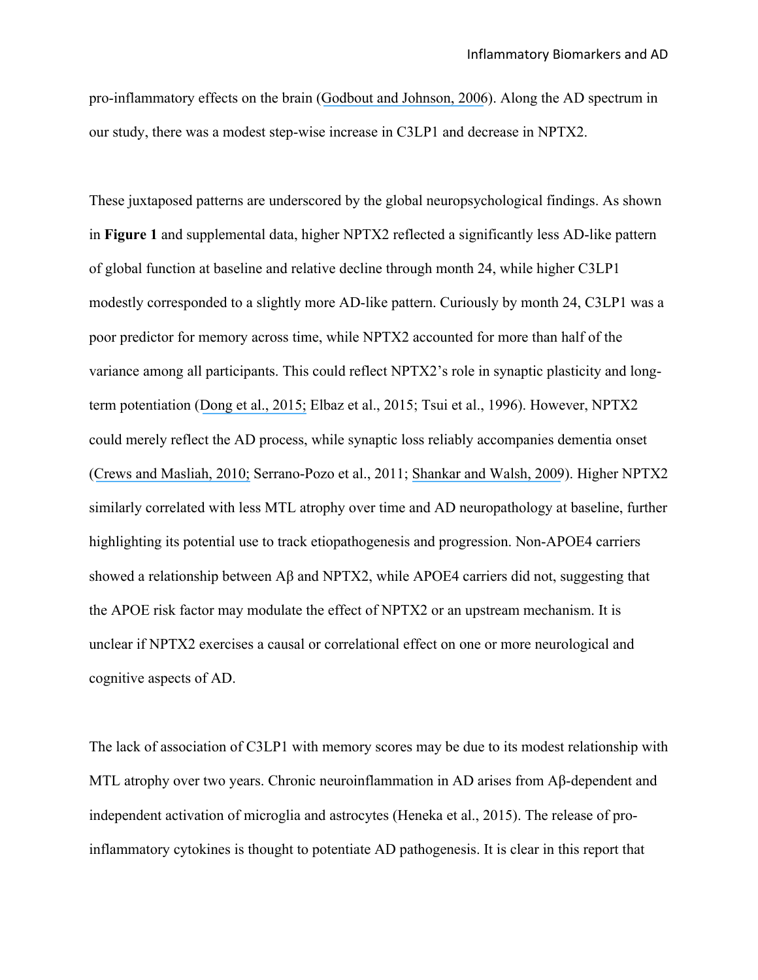pro-inflammatory effects on the brain ([Godbout and Johnson, 2006](https://www.researchgate.net/publication/296615032_Age_and_neuroinflammation_A_lifetime_of_psychoneuroimmune_consequences?el=1_x_8&enrichId=rgreq-fec651444e0fc730e3f764c8fee04bd2-XXX&enrichSource=Y292ZXJQYWdlOzMwNTQxODIwNztBUzozOTEzODM2MjI5MzA0NDNAMTQ3MDMyNDUzNTUyOQ==)). Along the AD spectrum in our study, there was a modest step-wise increase in C3LP1 and decrease in NPTX2.

These juxtaposed patterns are underscored by the global neuropsychological findings. As shown in **Figure 1** and supplemental data, higher NPTX2 reflected a significantly less AD-like pattern of global function at baseline and relative decline through month 24, while higher C3LP1 modestly corresponded to a slightly more AD-like pattern. Curiously by month 24, C3LP1 was a poor predictor for memory across time, while NPTX2 accounted for more than half of the variance among all participants. This could reflect NPTX2's role in synaptic plasticity and longterm potentiation ([Dong et al., 2015;](https://www.researchgate.net/publication/269115055_Long-term_potentiation_decay_and_memory_loss_are_mediated_by_AMPAR_endocytosis?el=1_x_8&enrichId=rgreq-fec651444e0fc730e3f764c8fee04bd2-XXX&enrichSource=Y292ZXJQYWdlOzMwNTQxODIwNztBUzozOTEzODM2MjI5MzA0NDNAMTQ3MDMyNDUzNTUyOQ==) Elbaz et al., 2015; Tsui et al., 1996). However, NPTX2 could merely reflect the AD process, while synaptic loss reliably accompanies dementia onset ([Crews and Masliah, 2010;](https://www.researchgate.net/publication/43299260_Molecular_mechanisms_of_neurodegeneration_in_Alzheimer) Serrano-Pozo et al., 2011; [Shankar and Walsh, 2009](https://www.researchgate.net/publication/40024081_Alzheimer)). Higher NPTX2 similarly correlated with less MTL atrophy over time and AD neuropathology at baseline, further highlighting its potential use to track etiopathogenesis and progression. Non-APOE4 carriers showed a relationship between Aβ and NPTX2, while APOE4 carriers did not, suggesting that the APOE risk factor may modulate the effect of NPTX2 or an upstream mechanism. It is unclear if NPTX2 exercises a causal or correlational effect on one or more neurological and cognitive aspects of AD.

The lack of association of C3LP1 with memory scores may be due to its modest relationship with MTL atrophy over two years. Chronic neuroinflammation in AD arises from Aβ-dependent and independent activation of microglia and astrocytes (Heneka et al., 2015). The release of proinflammatory cytokines is thought to potentiate AD pathogenesis. It is clear in this report that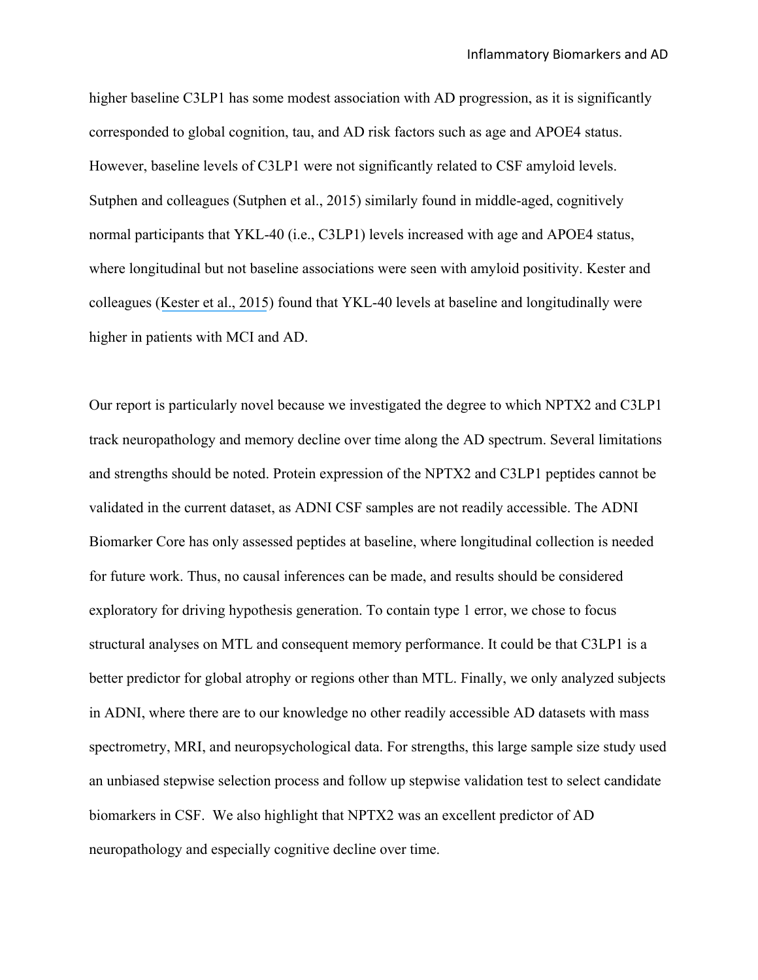higher baseline C3LP1 has some modest association with AD progression, as it is significantly corresponded to global cognition, tau, and AD risk factors such as age and APOE4 status. However, baseline levels of C3LP1 were not significantly related to CSF amyloid levels. Sutphen and colleagues (Sutphen et al., 2015) similarly found in middle-aged, cognitively normal participants that YKL-40 (i.e., C3LP1) levels increased with age and APOE4 status, where longitudinal but not baseline associations were seen with amyloid positivity. Kester and colleagues ([Kester et al., 2015](https://www.researchgate.net/publication/282043475_Cerebrospinal_fluid_VILIP-1_and_YKL-40_candidate_biomarkers_to_diagnose_predict_and_monitor_Alzheimer)) found that YKL-40 levels at baseline and longitudinally were higher in patients with MCI and AD.

Our report is particularly novel because we investigated the degree to which NPTX2 and C3LP1 track neuropathology and memory decline over time along the AD spectrum. Several limitations and strengths should be noted. Protein expression of the NPTX2 and C3LP1 peptides cannot be validated in the current dataset, as ADNI CSF samples are not readily accessible. The ADNI Biomarker Core has only assessed peptides at baseline, where longitudinal collection is needed for future work. Thus, no causal inferences can be made, and results should be considered exploratory for driving hypothesis generation. To contain type 1 error, we chose to focus structural analyses on MTL and consequent memory performance. It could be that C3LP1 is a better predictor for global atrophy or regions other than MTL. Finally, we only analyzed subjects in ADNI, where there are to our knowledge no other readily accessible AD datasets with mass spectrometry, MRI, and neuropsychological data. For strengths, this large sample size study used an unbiased stepwise selection process and follow up stepwise validation test to select candidate biomarkers in CSF. We also highlight that NPTX2 was an excellent predictor of AD neuropathology and especially cognitive decline over time.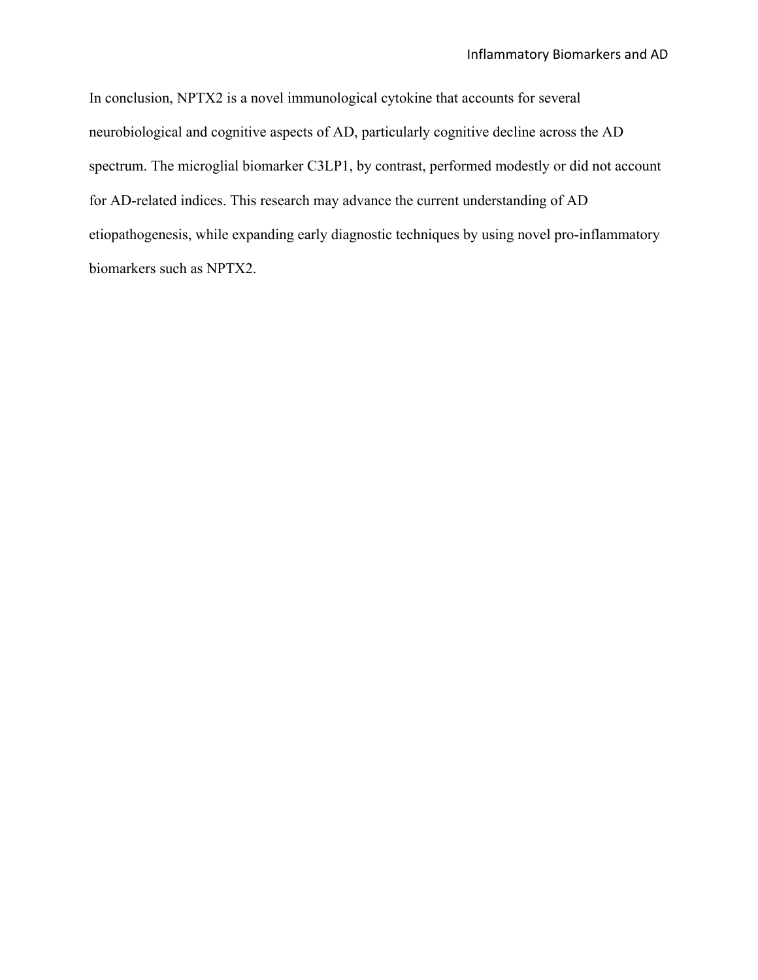In conclusion, NPTX2 is a novel immunological cytokine that accounts for several neurobiological and cognitive aspects of AD, particularly cognitive decline across the AD spectrum. The microglial biomarker C3LP1, by contrast, performed modestly or did not account for AD-related indices. This research may advance the current understanding of AD etiopathogenesis, while expanding early diagnostic techniques by using novel pro-inflammatory biomarkers such as NPTX2.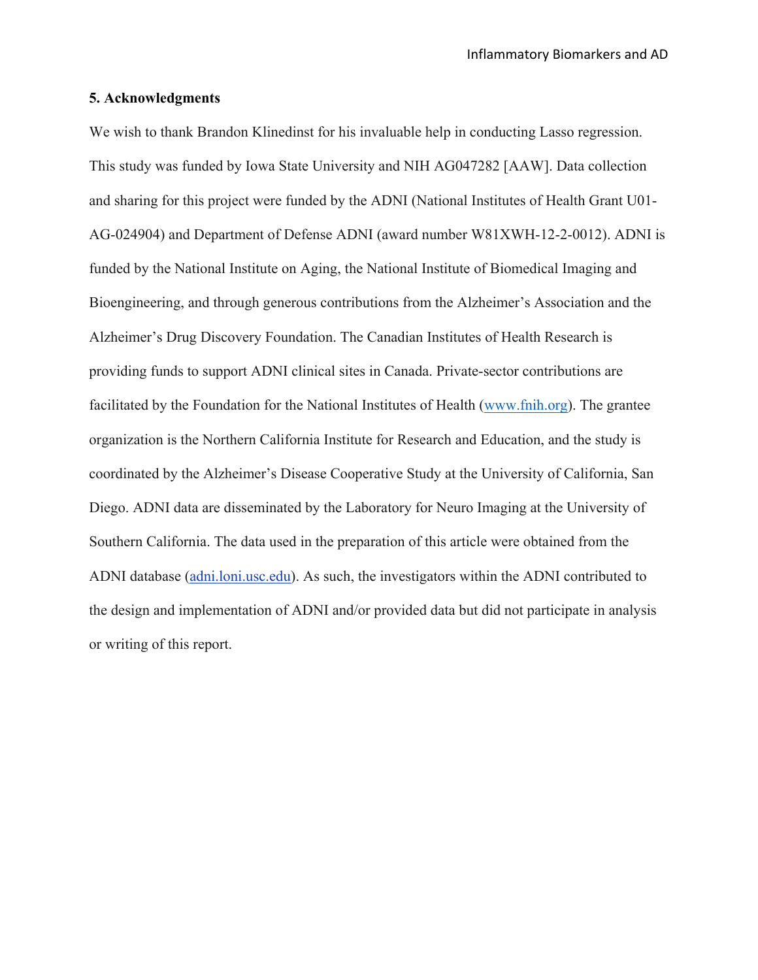## **5. Acknowledgments**

We wish to thank Brandon Klinedinst for his invaluable help in conducting Lasso regression. This study was funded by Iowa State University and NIH AG047282 [AAW]. Data collection and sharing for this project were funded by the ADNI (National Institutes of Health Grant U01- AG-024904) and Department of Defense ADNI (award number W81XWH-12-2-0012). ADNI is funded by the National Institute on Aging, the National Institute of Biomedical Imaging and Bioengineering, and through generous contributions from the Alzheimer's Association and the Alzheimer's Drug Discovery Foundation. The Canadian Institutes of Health Research is providing funds to support ADNI clinical sites in Canada. Private-sector contributions are facilitated by the Foundation for the National Institutes of Health (www.fnih.org). The grantee organization is the Northern California Institute for Research and Education, and the study is coordinated by the Alzheimer's Disease Cooperative Study at the University of California, San Diego. ADNI data are disseminated by the Laboratory for Neuro Imaging at the University of Southern California. The data used in the preparation of this article were obtained from the ADNI database (adni.loni.usc.edu). As such, the investigators within the ADNI contributed to the design and implementation of ADNI and/or provided data but did not participate in analysis or writing of this report.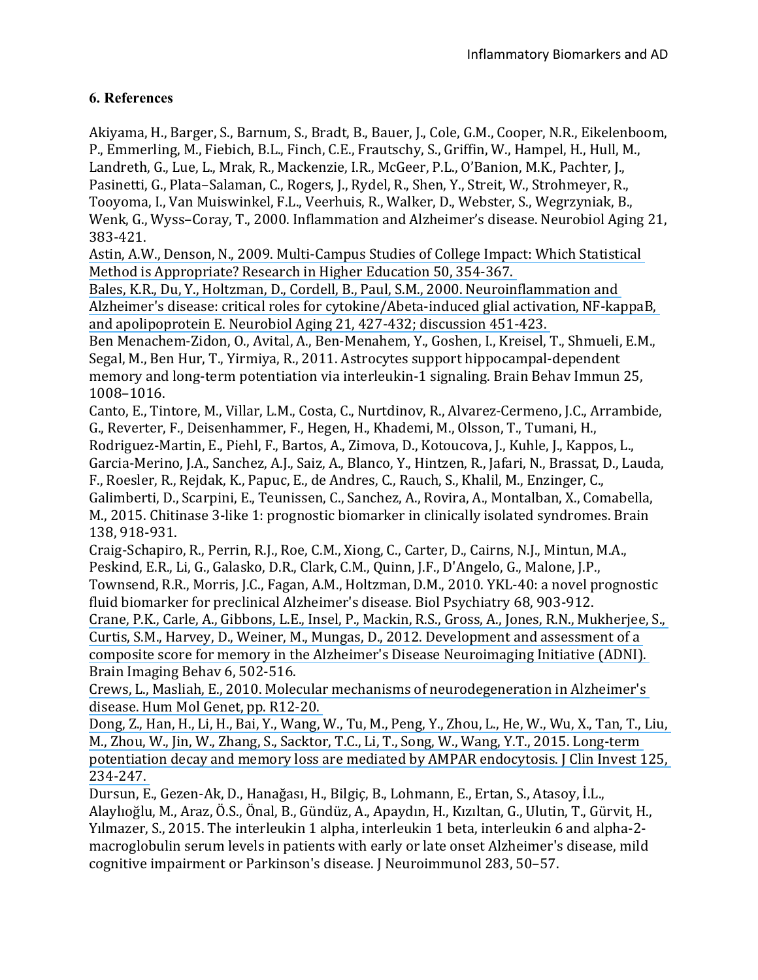## **6. References**

Akiyama, H., Barger, S., Barnum, S., Bradt, B., Bauer, J., Cole, G.M., Cooper, N.R., Eikelenboom, P., Emmerling, M., Fiebich, B.L., Finch, C.E., Frautschy, S., Griffin, W., Hampel, H., Hull, M., Landreth, G., Lue, L., Mrak, R., Mackenzie, I.R., McGeer, P.L., O'Banion, M.K., Pachter, J., Pasinetti, G., Plata–Salaman, C., Rogers, J., Rydel, R., Shen, Y., Streit, W., Strohmeyer, R., Tooyoma, I., Van Muiswinkel, F.L., Veerhuis, R., Walker, D., Webster, S., Wegrzyniak, B., Wenk, G., Wyss-Coray, T., 2000. Inflammation and Alzheimer's disease. Neurobiol Aging 21, 383-421.

Astin, A.W., Denson, N., 2009. Multi-Campus Studies of College Impact: Which Statistical Method is Appropriate? Research in Higher Education 50, 354-367.

Bales, K.R., Du, Y., Holtzman, D., Cordell, B., Paul, S.M., 2000. Neuroinflammation and Alzheimer's disease: critical roles for cytokine/Abeta-induced glial activation, NF-kappaB, and apolipoprotein E. Neurobiol Aging 21, 427-432; discussion 451-423.

Ben Menachem-Zidon, O., Avital, A., Ben-Menahem, Y., Goshen, I., Kreisel, T., Shmueli, E.M., Segal, M., Ben Hur, T., Yirmiya, R., 2011. Astrocytes support hippocampal-dependent memory and long-term potentiation via interleukin-1 signaling. Brain Behav Immun 25, 1008–1016.

Canto, E., Tintore, M., Villar, L.M., Costa, C., Nurtdinov, R., Alvarez-Cermeno, J.C., Arrambide, G., Reverter, F., Deisenhammer, F., Hegen, H., Khademi, M., Olsson, T., Tumani, H., Rodriguez-Martin, E., Piehl, F., Bartos, A., Zimova, D., Kotoucova, J., Kuhle, J., Kappos, L., Garcia-Merino, J.A., Sanchez, A.J., Saiz, A., Blanco, Y., Hintzen, R., Jafari, N., Brassat, D., Lauda, F., Roesler, R., Rejdak, K., Papuc, E., de Andres, C., Rauch, S., Khalil, M., Enzinger, C., Galimberti, D., Scarpini, E., Teunissen, C., Sanchez, A., Rovira, A., Montalban, X., Comabella, M., 2015. Chitinase 3-like 1: prognostic biomarker in clinically isolated syndromes. Brain 138, 918-931.

Craig-Schapiro, R., Perrin, R.J., Roe, C.M., Xiong, C., Carter, D., Cairns, N.J., Mintun, M.A., Peskind, E.R., Li, G., Galasko, D.R., Clark, C.M., Quinn, J.F., D'Angelo, G., Malone, J.P., Townsend, R.R., Morris, J.C., Fagan, A.M., Holtzman, D.M., 2010. YKL-40: a novel prognostic fluid biomarker for preclinical Alzheimer's disease. Biol Psychiatry 68, 903-912.

Crane, P.K., Carle, A., Gibbons, L.E., Insel, P., Mackin, R.S., Gross, A., Jones, R.N., Mukherjee, S., Curtis, S.M., Harvey, D., Weiner, M., Mungas, D., 2012. Development and assessment of a composite score for memory in the Alzheimer's Disease Neuroimaging Initiative (ADNI). Brain Imaging Behav 6, 502-516.

Crews, L., Masliah, E., 2010. Molecular mechanisms of neurodegeneration in Alzheimer's disease. Hum Mol Genet, pp. R12-20.

Dong, Z., Han, H., Li, H., Bai, Y., Wang, W., Tu, M., Peng, Y., Zhou, L., He, W., Wu, X., Tan, T., Liu, M., Zhou, W., Jin, W., Zhang, S., Sacktor, T.C., Li, T., Song, W., Wang, Y.T., 2015. Long-term potentiation decay and memory loss are mediated by AMPAR endocytosis. J Clin Invest 125, [234-247.](https://www.researchgate.net/publication/269115055_Long-term_potentiation_decay_and_memory_loss_are_mediated_by_AMPAR_endocytosis?el=1_x_8&enrichId=rgreq-fec651444e0fc730e3f764c8fee04bd2-XXX&enrichSource=Y292ZXJQYWdlOzMwNTQxODIwNztBUzozOTEzODM2MjI5MzA0NDNAMTQ3MDMyNDUzNTUyOQ==)

Dursun, E., Gezen-Ak, D., Hanağası, H., Bilgiç, B., Lohmann, E., Ertan, S., Atasoy, İ.L., Alaylıoğlu, M., Araz, Ö.S., Önal, B., Gündüz, A., Apaydın, H., Kızıltan, G., Ulutin, T., Gürvit, H., Yilmazer, S., 2015. The interleukin 1 alpha, interleukin 1 beta, interleukin 6 and alpha-2macroglobulin serum levels in patients with early or late onset Alzheimer's disease, mild cognitive impairment or Parkinson's disease. J Neuroimmunol 283, 50-57.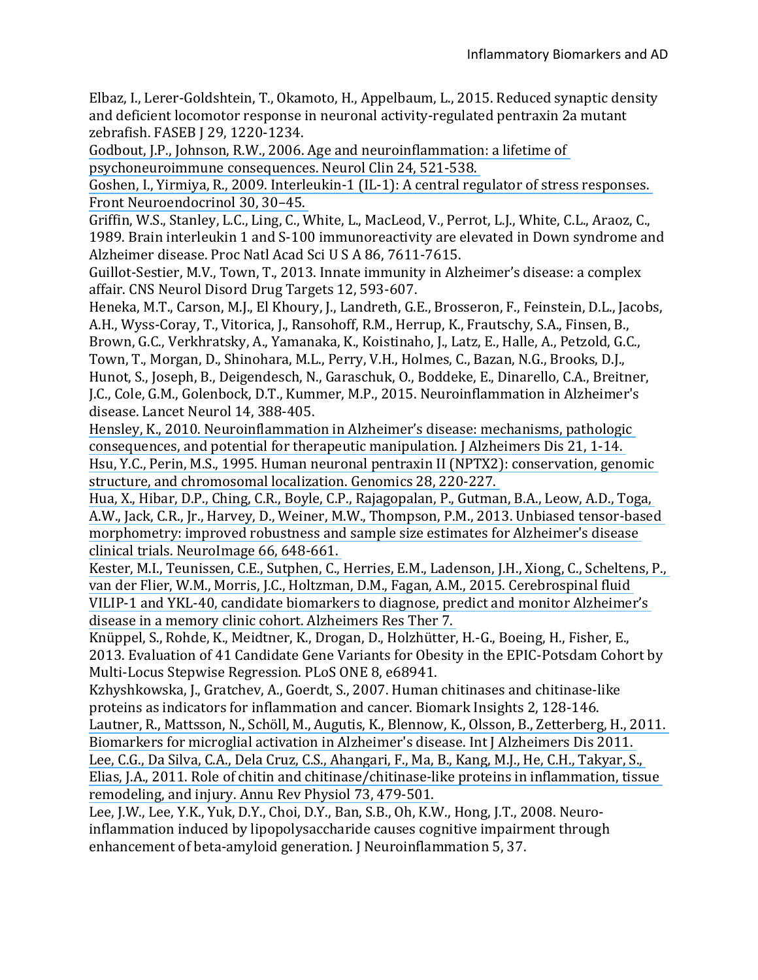Elbaz, I., Lerer-Goldshtein, T., Okamoto, H., Appelbaum, L., 2015. Reduced synaptic density and deficient locomotor response in neuronal activity-regulated pentraxin 2a mutant zebrafish. FASEB | 29, 1220-1234.

Godbout, J.P., Johnson, R.W., 2006. Age and neuroinflammation: a lifetime of

psychoneuroimmune consequences. Neurol Clin 24, 521-538.

Goshen, I., Yirmiya, R., 2009. Interleukin-1  $(IL-1)$ : A central regulator of stress responses. Front Neuroendocrinol 30, 30-45.

Griffin, W.S., Stanley, L.C., Ling, C., White, L., MacLeod, V., Perrot, L.J., White, C.L., Araoz, C., 1989. Brain interleukin 1 and S-100 immunoreactivity are elevated in Down syndrome and Alzheimer disease. Proc Natl Acad Sci U S A 86, 7611-7615.

Guillot-Sestier, M.V., Town, T., 2013. Innate immunity in Alzheimer's disease: a complex affair. CNS Neurol Disord Drug Targets 12, 593-607.

Heneka, M.T., Carson, M.J., El Khoury, J., Landreth, G.E., Brosseron, F., Feinstein, D.L., Jacobs, A.H., Wyss-Coray, T., Vitorica, J., Ransohoff, R.M., Herrup, K., Frautschy, S.A., Finsen, B., Brown, G.C., Verkhratsky, A., Yamanaka, K., Koistinaho, I., Latz, E., Halle, A., Petzold, G.C., Town, T., Morgan, D., Shinohara, M.L., Perry, V.H., Holmes, C., Bazan, N.G., Brooks, D.J.,

Hunot, S., Joseph, B., Deigendesch, N., Garaschuk, O., Boddeke, E., Dinarello, C.A., Breitner, J.C., Cole, G.M., Golenbock, D.T., Kummer, M.P., 2015. Neuroinflammation in Alzheimer's disease. Lancet Neurol 14, 388-405.

Hensley, K., 2010. Neuroinflammation in Alzheimer's disease: mechanisms, pathologic consequences, and potential for therapeutic manipulation. J Alzheimers Dis 21, 1-14. Hsu, Y.C., Perin, M.S., 1995. Human neuronal pentraxin II (NPTX2): conservation, genomic structure, and chromosomal localization. Genomics 28, 220-227.

Hua, X., Hibar, D.P., Ching, C.R., Boyle, C.P., Rajagopalan, P., Gutman, B.A., Leow, A.D., Toga, A.W., Jack, C.R., Jr., Harvey, D., Weiner, M.W., Thompson, P.M., 2013. Unbiased tensor-based morphometry: improved robustness and sample size estimates for Alzheimer's disease clinical trials. NeuroImage 66, 648-661.

Kester, M.I., Teunissen, C.E., Sutphen, C., Herries, E.M., Ladenson, J.H., Xiong, C., Scheltens, P., van der Flier, W.M., Morris, J.C., Holtzman, D.M., Fagan, A.M., 2015. Cerebrospinal fluid VILIP-1 and YKL-40, candidate biomarkers to diagnose, predict and monitor Alzheimer's disease in a memory clinic cohort. Alzheimers Res Ther 7.

Knüppel, S., Rohde, K., Meidtner, K., Drogan, D., Holzhütter, H.-G., Boeing, H., Fisher, E., 2013. Evaluation of 41 Candidate Gene Variants for Obesity in the EPIC-Potsdam Cohort by Multi-Locus Stepwise Regression. PLoS ONE 8, e68941.

Kzhyshkowska, J., Gratchev, A., Goerdt, S., 2007. Human chitinases and chitinase-like proteins as indicators for inflammation and cancer. Biomark Insights 2, 128-146.

Lautner, R., Mattsson, N., Schöll, M., Augutis, K., Blennow, K., Olsson, B., Zetterberg, H., 2011. Biomarkers for microglial activation in Alzheimer's disease. Int J Alzheimers Dis 2011.

Lee, C.G., Da Silva, C.A., Dela Cruz, C.S., Ahangari, F., Ma, B., Kang, M.J., He, C.H., Takyar, S., Elias, J.A., 2011. Role of chitin and chitinase/chitinase-like proteins in inflammation, tissue remodeling, and injury. Annu Rev Physiol 73, 479-501.

Lee, J.W., Lee, Y.K., Yuk, D.Y., Choi, D.Y., Ban, S.B., Oh, K.W., Hong, J.T., 2008. Neuroinflammation induced by lipopolysaccharide causes cognitive impairment through enhancement of beta-amyloid generation. I Neuroinflammation 5, 37.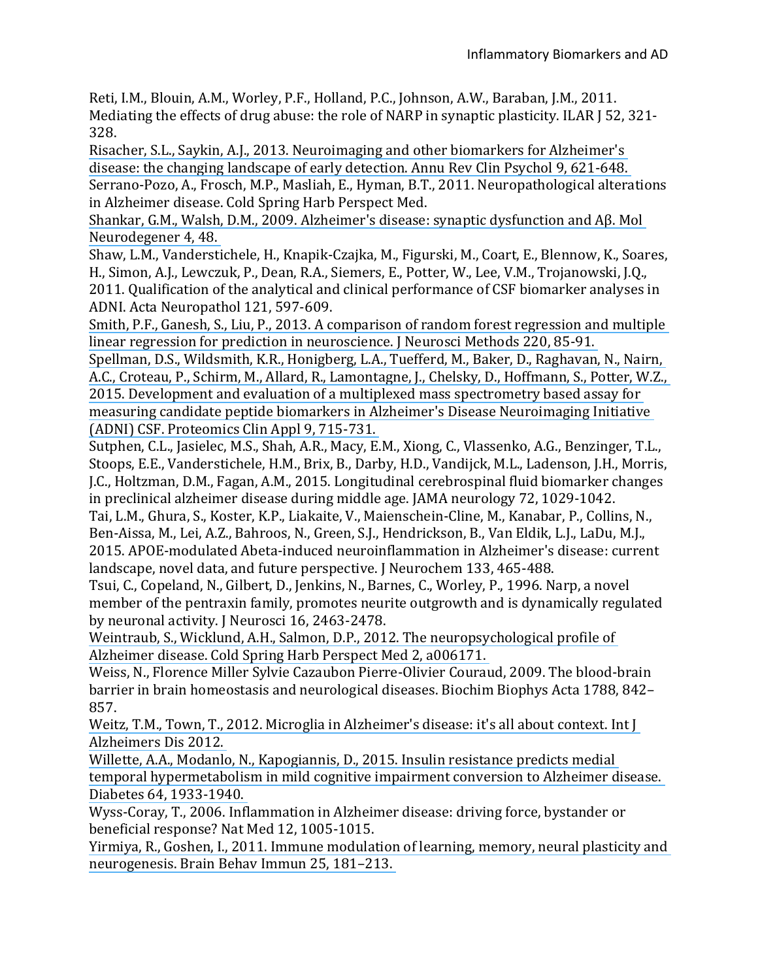Reti, I.M., Blouin, A.M., Worley, P.F., Holland, P.C., Johnson, A.W., Baraban, J.M., 2011. Mediating the effects of drug abuse: the role of NARP in synaptic plasticity. ILAR [52, 321-328.

Risacher, S.L., Saykin, A.J., 2013. Neuroimaging and other biomarkers for Alzheimer's disease: the changing landscape of early detection. Annu Rev Clin Psychol 9, 621-648. Serrano-Pozo, A., Frosch, M.P., Masliah, E., Hyman, B.T., 2011. Neuropathological alterations in Alzheimer disease. Cold Spring Harb Perspect Med.

Shankar, G.M., Walsh, D.M., 2009. Alzheimer's disease: synaptic dysfunction and Aβ. Mol Neurodegener 4, 48.

Shaw, L.M., Vanderstichele, H., Knapik-Czajka, M., Figurski, M., Coart, E., Blennow, K., Soares, H., Simon, A.J., Lewczuk, P., Dean, R.A., Siemers, E., Potter, W., Lee, V.M., Trojanowski, J.Q., 2011. Qualification of the analytical and clinical performance of CSF biomarker analyses in ADNI. Acta Neuropathol 121, 597-609.

Smith, P.F., Ganesh, S., Liu, P., 2013. A comparison of random forest regression and multiple linear regression for prediction in neuroscience. I Neurosci Methods 220, 85-91.

Spellman, D.S., Wildsmith, K.R., Honigberg, L.A., Tuefferd, M., Baker, D., Raghavan, N., Nairn, A.C., Croteau, P., Schirm, M., Allard, R., Lamontagne, J., Chelsky, D., Hoffmann, S., Potter, W.Z., 2015. Development and evaluation of a multiplexed mass spectrometry based assay for measuring candidate peptide biomarkers in Alzheimer's Disease Neuroimaging Initiative (ADNI) CSF. Proteomics Clin Appl 9, 715-731.

Sutphen, C.L., Jasielec, M.S., Shah, A.R., Macy, E.M., Xiong, C., Vlassenko, A.G., Benzinger, T.L., Stoops, E.E., Vanderstichele, H.M., Brix, B., Darby, H.D., Vandijck, M.L., Ladenson, J.H., Morris, J.C., Holtzman, D.M., Fagan, A.M., 2015. Longitudinal cerebrospinal fluid biomarker changes in preclinical alzheimer disease during middle age. JAMA neurology 72, 1029-1042.

Tai, L.M., Ghura, S., Koster, K.P., Liakaite, V., Maienschein-Cline, M., Kanabar, P., Collins, N., Ben-Aissa, M., Lei, A.Z., Bahroos, N., Green, S.J., Hendrickson, B., Van Eldik, L.J., LaDu, M.J., 2015. APOE-modulated Abeta-induced neuroinflammation in Alzheimer's disease: current landscape, novel data, and future perspective. I Neurochem 133, 465-488.

Tsui, C., Copeland, N., Gilbert, D., Jenkins, N., Barnes, C., Worley, P., 1996. Narp, a novel member of the pentraxin family, promotes neurite outgrowth and is dynamically regulated by neuronal activity. I Neurosci 16, 2463-2478.

Weintraub, S., Wicklund, A.H., Salmon, D.P., 2012. The neuropsychological profile of Alzheimer disease. Cold Spring Harb Perspect Med 2, a006171.

Weiss, N., Florence Miller Sylvie Cazaubon Pierre-Olivier Couraud, 2009. The blood-brain barrier in brain homeostasis and neurological diseases. Biochim Biophys Acta 1788, 842– 857.

Weitz, T.M., Town, T., 2012. Microglia in Alzheimer's disease: it's all about context. Int J Alzheimers Dis 2012.

Willette, A.A., Modanlo, N., Kapogiannis, D., 2015. Insulin resistance predicts medial temporal hypermetabolism in mild cognitive impairment conversion to Alzheimer disease. Diabetes 64, 1933-1940.

Wyss-Coray, T., 2006. Inflammation in Alzheimer disease: driving force, bystander or beneficial response? Nat Med 12, 1005-1015.

Yirmiya, R., Goshen, I., 2011. Immune modulation of learning, memory, neural plasticity and [neurogenesis. Brain Behav Immun 25, 181–213.](https://www.researchgate.net/publication/47533290_Yirmiya_R_Goshen_I_Immune_modulation_of_learning_memory_neural_plasticity_and_neurogenesis_Brain_Behav_Immun_25_181-213?el=1_x_8&enrichId=rgreq-fec651444e0fc730e3f764c8fee04bd2-XXX&enrichSource=Y292ZXJQYWdlOzMwNTQxODIwNztBUzozOTEzODM2MjI5MzA0NDNAMTQ3MDMyNDUzNTUyOQ==)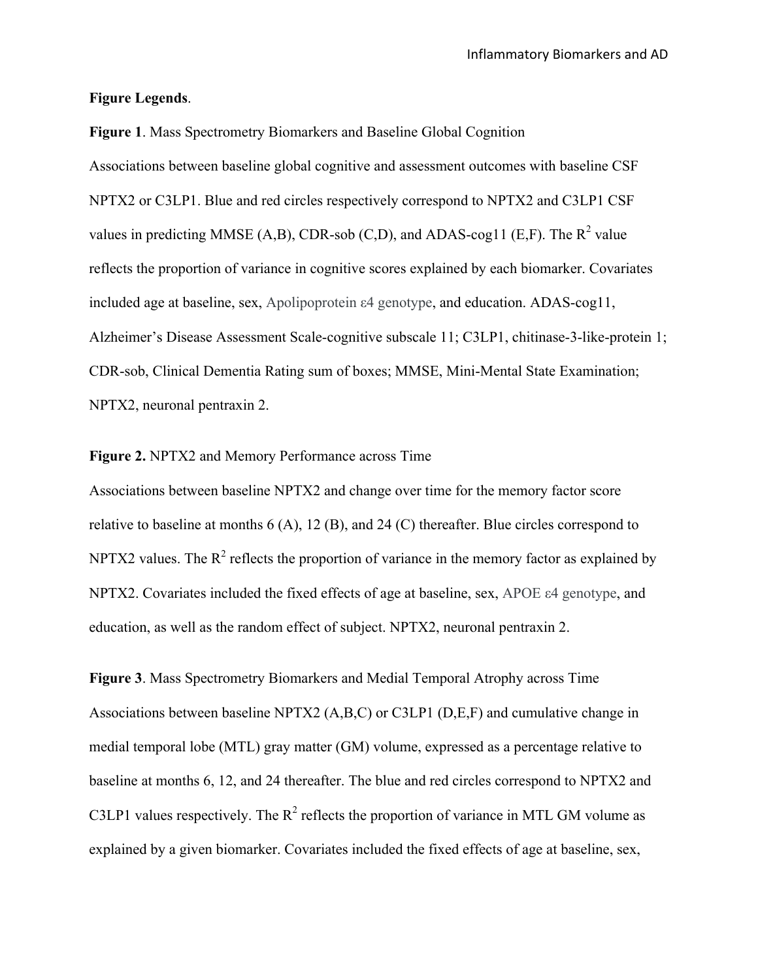## **Figure Legends**.

**Figure 1**. Mass Spectrometry Biomarkers and Baseline Global Cognition Associations between baseline global cognitive and assessment outcomes with baseline CSF NPTX2 or C3LP1. Blue and red circles respectively correspond to NPTX2 and C3LP1 CSF values in predicting MMSE (A,B), CDR-sob (C,D), and ADAS-cog11 (E,F). The  $R^2$  value reflects the proportion of variance in cognitive scores explained by each biomarker. Covariates included age at baseline, sex, Apolipoprotein ε4 genotype, and education. ADAS-cog11, Alzheimer's Disease Assessment Scale-cognitive subscale 11; C3LP1, chitinase-3-like-protein 1; CDR-sob, Clinical Dementia Rating sum of boxes; MMSE, Mini-Mental State Examination; NPTX2, neuronal pentraxin 2.

## **Figure 2.** NPTX2 and Memory Performance across Time

Associations between baseline NPTX2 and change over time for the memory factor score relative to baseline at months 6 (A), 12 (B), and 24 (C) thereafter. Blue circles correspond to NPTX2 values. The  $R^2$  reflects the proportion of variance in the memory factor as explained by NPTX2. Covariates included the fixed effects of age at baseline, sex, APOE ε4 genotype, and education, as well as the random effect of subject. NPTX2, neuronal pentraxin 2.

**Figure 3**. Mass Spectrometry Biomarkers and Medial Temporal Atrophy across Time Associations between baseline NPTX2 (A,B,C) or C3LP1 (D,E,F) and cumulative change in medial temporal lobe (MTL) gray matter (GM) volume, expressed as a percentage relative to baseline at months 6, 12, and 24 thereafter. The blue and red circles correspond to NPTX2 and C3LP1 values respectively. The  $R^2$  reflects the proportion of variance in MTL GM volume as explained by a given biomarker. Covariates included the fixed effects of age at baseline, sex,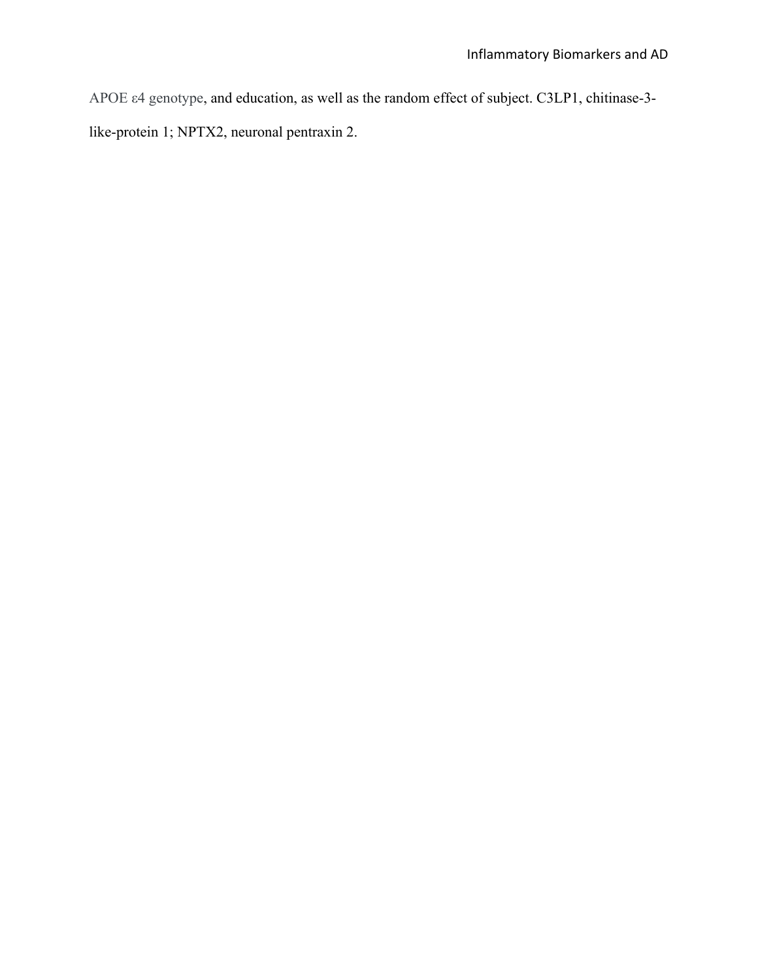APOE ε4 genotype, and education, as well as the random effect of subject. C3LP1, chitinase-3 like-protein 1; NPTX2, neuronal pentraxin 2.